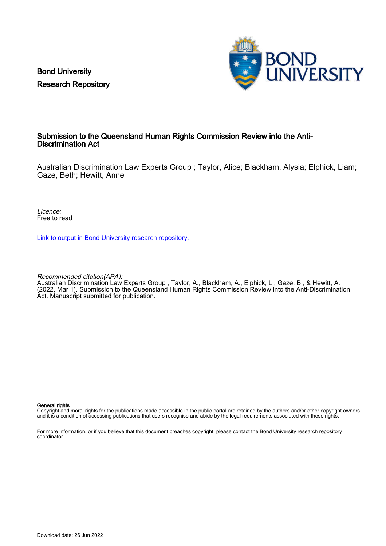Bond University Research Repository



#### Submission to the Queensland Human Rights Commission Review into the Anti-Discrimination Act

Australian Discrimination Law Experts Group ; Taylor, Alice; Blackham, Alysia; Elphick, Liam; Gaze, Beth; Hewitt, Anne

Licence: Free to read

[Link to output in Bond University research repository.](https://research.bond.edu.au/en/publications/643f1caa-ddd2-4c46-8568-677d43da34fb)

Recommended citation(APA):

Australian Discrimination Law Experts Group , Taylor, A., Blackham, A., Elphick, L., Gaze, B., & Hewitt, A. (2022, Mar 1). Submission to the Queensland Human Rights Commission Review into the Anti-Discrimination Act. Manuscript submitted for publication.

#### General rights

Copyright and moral rights for the publications made accessible in the public portal are retained by the authors and/or other copyright owners and it is a condition of accessing publications that users recognise and abide by the legal requirements associated with these rights.

For more information, or if you believe that this document breaches copyright, please contact the Bond University research repository coordinator.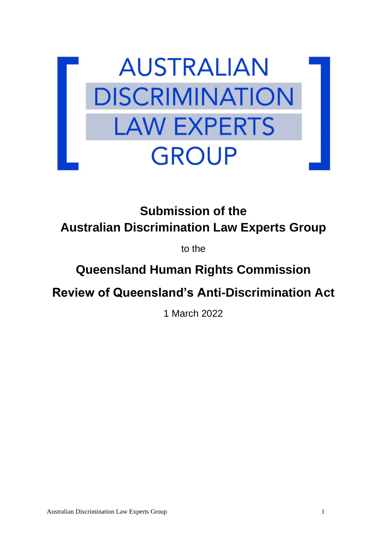

**Submission of the Australian Discrimination Law Experts Group**

to the

# **Queensland Human Rights Commission**

**Review of Queensland's Anti-Discrimination Act**

1 March 2022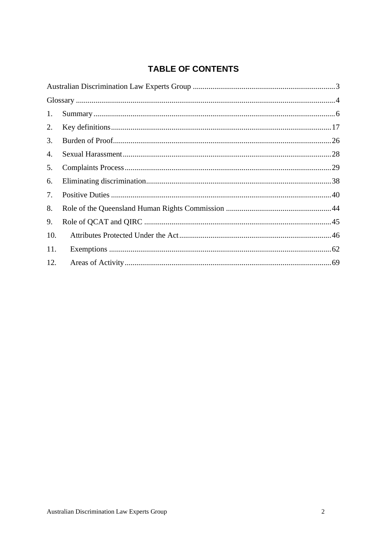## **TABLE OF CONTENTS**

| 1.  |  |  |
|-----|--|--|
| 2.  |  |  |
| 3.  |  |  |
| 4.  |  |  |
| 5.  |  |  |
| 6.  |  |  |
| 7.  |  |  |
| 8.  |  |  |
| 9.  |  |  |
| 10. |  |  |
| 11. |  |  |
| 12. |  |  |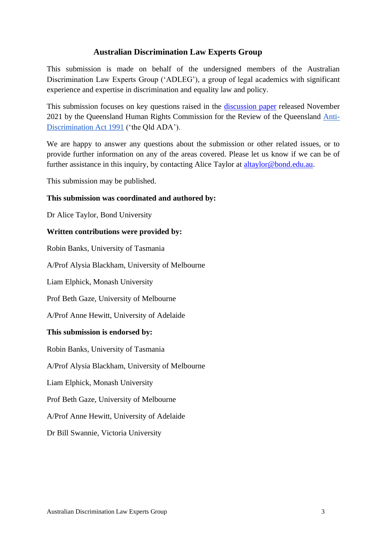#### **Australian Discrimination Law Experts Group**

<span id="page-3-0"></span>This submission is made on behalf of the undersigned members of the Australian Discrimination Law Experts Group ('ADLEG'), a group of legal academics with significant experience and expertise in discrimination and equality law and policy.

This submission focuses on key questions raised in the [discussion paper](https://www.qhrc.qld.gov.au/law-reform/have-your-say/discussion-paper) released November 2021 by the Queensland Human Rights Commission for the Review of the Queensland [Anti-](https://www.legislation.qld.gov.au/view/html/inforce/current/act-1991-085)[Discrimination Act 1991](https://www.legislation.qld.gov.au/view/html/inforce/current/act-1991-085) ('the Qld ADA').

We are happy to answer any questions about the submission or other related issues, or to provide further information on any of the areas covered. Please let us know if we can be of further assistance in this inquiry, by contacting Alice Taylor at **altaylor@bond.edu.au.** 

This submission may be published.

#### **This submission was coordinated and authored by:**

Dr Alice Taylor, Bond University

#### **Written contributions were provided by:**

Robin Banks, University of Tasmania

A/Prof Alysia Blackham, University of Melbourne

Liam Elphick, Monash University

Prof Beth Gaze, University of Melbourne

A/Prof Anne Hewitt, University of Adelaide

#### **This submission is endorsed by:**

Robin Banks, University of Tasmania

A/Prof Alysia Blackham, University of Melbourne

Liam Elphick, Monash University

Prof Beth Gaze, University of Melbourne

A/Prof Anne Hewitt, University of Adelaide

Dr Bill Swannie, Victoria University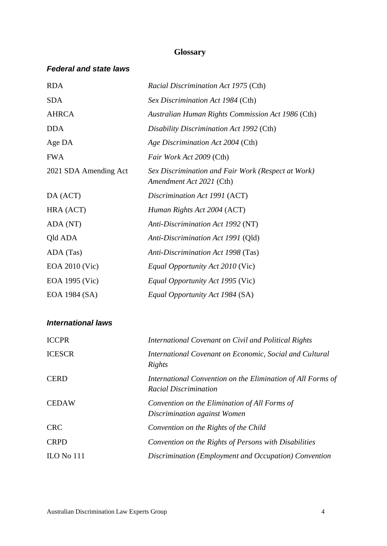#### **Glossary**

#### <span id="page-4-0"></span>*Federal and state laws*

| <b>RDA</b>            | <i>Racial Discrimination Act 1975 (Cth)</i>                                    |
|-----------------------|--------------------------------------------------------------------------------|
| <b>SDA</b>            | Sex Discrimination Act 1984 (Cth)                                              |
| <b>AHRCA</b>          | Australian Human Rights Commission Act 1986 (Cth)                              |
| <b>DDA</b>            | Disability Discrimination Act 1992 (Cth)                                       |
| Age DA                | Age Discrimination Act 2004 (Cth)                                              |
| <b>FWA</b>            | Fair Work Act 2009 (Cth)                                                       |
| 2021 SDA Amending Act | Sex Discrimination and Fair Work (Respect at Work)<br>Amendment Act 2021 (Cth) |
| DA (ACT)              | Discrimination Act 1991 (ACT)                                                  |
| HRA (ACT)             | Human Rights Act 2004 (ACT)                                                    |
| ADA (NT)              | Anti-Discrimination Act 1992 (NT)                                              |
| Qld ADA               | Anti-Discrimination Act 1991 (Qld)                                             |
| ADA (Tas)             | Anti-Discrimination Act 1998 (Tas)                                             |
| EOA 2010 (Vic)        | <i>Equal Opportunity Act 2010 (Vic)</i>                                        |
| EOA 1995 (Vic)        | <i>Equal Opportunity Act 1995 (Vic)</i>                                        |
| EOA 1984 (SA)         | Equal Opportunity Act 1984 (SA)                                                |

#### *International laws*

| <b>ICCPR</b>  | International Covenant on Civil and Political Rights                                        |
|---------------|---------------------------------------------------------------------------------------------|
| <b>ICESCR</b> | International Covenant on Economic, Social and Cultural<br>Rights                           |
| <b>CERD</b>   | International Convention on the Elimination of All Forms of<br><b>Racial Discrimination</b> |
| <b>CEDAW</b>  | Convention on the Elimination of All Forms of<br>Discrimination against Women               |
| <b>CRC</b>    | Convention on the Rights of the Child                                                       |
| <b>CRPD</b>   | Convention on the Rights of Persons with Disabilities                                       |
| $ILO$ No 111  | Discrimination (Employment and Occupation) Convention                                       |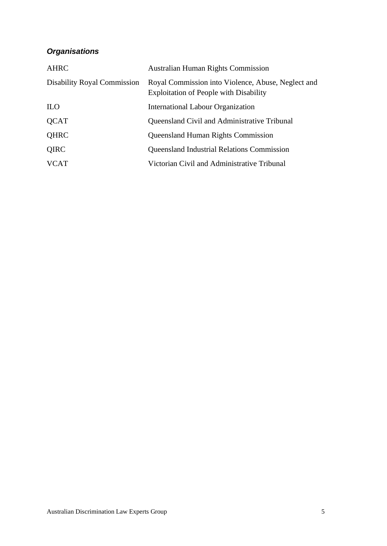# *Organisations*

| <b>AHRC</b>                        | <b>Australian Human Rights Commission</b>                                                           |
|------------------------------------|-----------------------------------------------------------------------------------------------------|
| <b>Disability Royal Commission</b> | Royal Commission into Violence, Abuse, Neglect and<br><b>Exploitation of People with Disability</b> |
| <b>ILO</b>                         | <b>International Labour Organization</b>                                                            |
| <b>QCAT</b>                        | Queensland Civil and Administrative Tribunal                                                        |
| QHRC                               | <b>Queensland Human Rights Commission</b>                                                           |
| QIRC                               | <b>Queensland Industrial Relations Commission</b>                                                   |
| <b>VCAT</b>                        | Victorian Civil and Administrative Tribunal                                                         |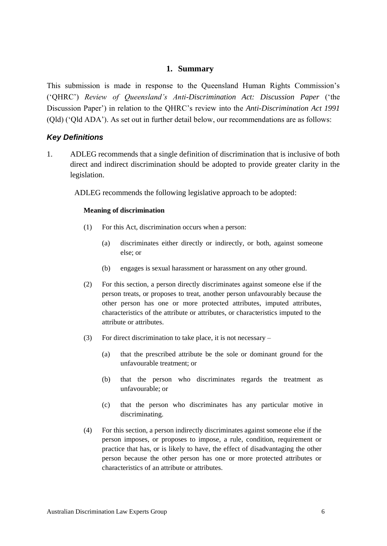#### **1. Summary**

<span id="page-6-0"></span>This submission is made in response to the Queensland Human Rights Commission's ('QHRC') *Review of Queensland's Anti-Discrimination Act: Discussion Paper* ('the Discussion Paper') in relation to the QHRC's review into the *Anti-Discrimination Act 1991*  (Qld) ('Qld ADA'). As set out in further detail below, our recommendations are as follows:

#### *Key Definitions*

1. ADLEG recommends that a single definition of discrimination that is inclusive of both direct and indirect discrimination should be adopted to provide greater clarity in the legislation.

ADLEG recommends the following legislative approach to be adopted:

#### **Meaning of discrimination**

- (1) For this Act, discrimination occurs when a person:
	- (a) discriminates either directly or indirectly, or both, against someone else; or
	- (b) engages is sexual harassment or harassment on any other ground.
- (2) For this section, a person directly discriminates against someone else if the person treats, or proposes to treat, another person unfavourably because the other person has one or more protected attributes, imputed attributes, characteristics of the attribute or attributes, or characteristics imputed to the attribute or attributes.
- (3) For direct discrimination to take place, it is not necessary
	- (a) that the prescribed attribute be the sole or dominant ground for the unfavourable treatment; or
	- (b) that the person who discriminates regards the treatment as unfavourable; or
	- (c) that the person who discriminates has any particular motive in discriminating.
- (4) For this section, a person indirectly discriminates against someone else if the person imposes, or proposes to impose, a rule, condition, requirement or practice that has, or is likely to have, the effect of disadvantaging the other person because the other person has one or more protected attributes or characteristics of an attribute or attributes.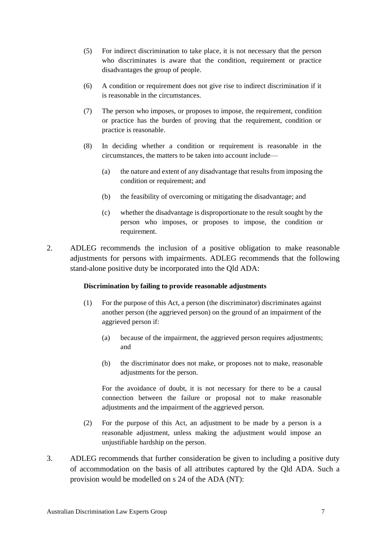- (5) For indirect discrimination to take place, it is not necessary that the person who discriminates is aware that the condition, requirement or practice disadvantages the group of people.
- (6) A condition or requirement does not give rise to indirect discrimination if it is reasonable in the circumstances.
- (7) The person who imposes, or proposes to impose, the requirement, condition or practice has the burden of proving that the requirement, condition or practice is reasonable.
- (8) In deciding whether a condition or requirement is reasonable in the circumstances, the matters to be taken into account include—
	- (a) the nature and extent of any disadvantage that results from imposing the condition or requirement; and
	- (b) the feasibility of overcoming or mitigating the disadvantage; and
	- (c) whether the disadvantage is disproportionate to the result sought by the person who imposes, or proposes to impose, the condition or requirement.
- 2. ADLEG recommends the inclusion of a positive obligation to make reasonable adjustments for persons with impairments. ADLEG recommends that the following stand-alone positive duty be incorporated into the Qld ADA:

#### **Discrimination by failing to provide reasonable adjustments**

- (1) For the purpose of this Act, a person (the discriminator) discriminates against another person (the aggrieved person) on the ground of an impairment of the aggrieved person if:
	- (a) because of the impairment, the aggrieved person requires adjustments; and
	- (b) the discriminator does not make, or proposes not to make, reasonable adjustments for the person.

For the avoidance of doubt, it is not necessary for there to be a causal connection between the failure or proposal not to make reasonable adjustments and the impairment of the aggrieved person.

- (2) For the purpose of this Act, an adjustment to be made by a person is a reasonable adjustment, unless making the adjustment would impose an unjustifiable hardship on the person.
- 3. ADLEG recommends that further consideration be given to including a positive duty of accommodation on the basis of all attributes captured by the Qld ADA. Such a provision would be modelled on s 24 of the ADA (NT):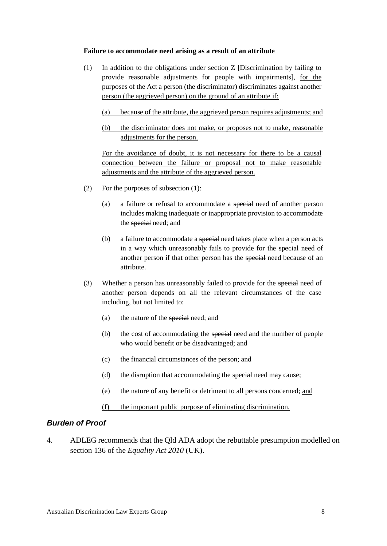#### **Failure to accommodate need arising as a result of an attribute**

- (1) In addition to the obligations under section Z [Discrimination by failing to provide reasonable adjustments for people with impairments], for the purposes of the Act a person (the discriminator) discriminates against another person (the aggrieved person) on the ground of an attribute if:
	- (a) because of the attribute, the aggrieved person requires adjustments; and
	- (b) the discriminator does not make, or proposes not to make, reasonable adjustments for the person.

For the avoidance of doubt, it is not necessary for there to be a causal connection between the failure or proposal not to make reasonable adjustments and the attribute of the aggrieved person.

- (2) For the purposes of subsection (1):
	- (a) a failure or refusal to accommodate a special need of another person includes making inadequate or inappropriate provision to accommodate the special need; and
	- (b) a failure to accommodate a special need takes place when a person acts in a way which unreasonably fails to provide for the special need of another person if that other person has the special need because of an attribute.
- (3) Whether a person has unreasonably failed to provide for the special need of another person depends on all the relevant circumstances of the case including, but not limited to:
	- (a) the nature of the special need; and
	- (b) the cost of accommodating the special need and the number of people who would benefit or be disadvantaged; and
	- (c) the financial circumstances of the person; and
	- (d) the disruption that accommodating the special need may cause;
	- (e) the nature of any benefit or detriment to all persons concerned; and
	- (f) the important public purpose of eliminating discrimination.

#### *Burden of Proof*

4. ADLEG recommends that the Qld ADA adopt the rebuttable presumption modelled on section 136 of the *Equality Act 2010* (UK).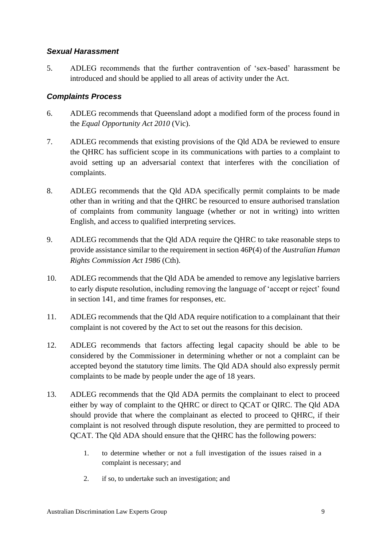#### *Sexual Harassment*

5. ADLEG recommends that the further contravention of 'sex-based' harassment be introduced and should be applied to all areas of activity under the Act.

#### *Complaints Process*

- 6. ADLEG recommends that Queensland adopt a modified form of the process found in the *Equal Opportunity Act 2010* (Vic).
- 7. ADLEG recommends that existing provisions of the Qld ADA be reviewed to ensure the QHRC has sufficient scope in its communications with parties to a complaint to avoid setting up an adversarial context that interferes with the conciliation of complaints.
- 8. ADLEG recommends that the Qld ADA specifically permit complaints to be made other than in writing and that the QHRC be resourced to ensure authorised translation of complaints from community language (whether or not in writing) into written English, and access to qualified interpreting services.
- 9. ADLEG recommends that the Qld ADA require the QHRC to take reasonable steps to provide assistance similar to the requirement in section 46P(4) of the *Australian Human Rights Commission Act 1986* (Cth).
- 10. ADLEG recommends that the Qld ADA be amended to remove any legislative barriers to early dispute resolution, including removing the language of 'accept or reject' found in section 141, and time frames for responses, etc.
- 11. ADLEG recommends that the Qld ADA require notification to a complainant that their complaint is not covered by the Act to set out the reasons for this decision.
- 12. ADLEG recommends that factors affecting legal capacity should be able to be considered by the Commissioner in determining whether or not a complaint can be accepted beyond the statutory time limits. The Qld ADA should also expressly permit complaints to be made by people under the age of 18 years.
- 13. ADLEG recommends that the Qld ADA permits the complainant to elect to proceed either by way of complaint to the QHRC or direct to QCAT or QIRC. The Qld ADA should provide that where the complainant as elected to proceed to QHRC, if their complaint is not resolved through dispute resolution, they are permitted to proceed to QCAT. The Qld ADA should ensure that the QHRC has the following powers:
	- 1. to determine whether or not a full investigation of the issues raised in a complaint is necessary; and
	- 2. if so, to undertake such an investigation; and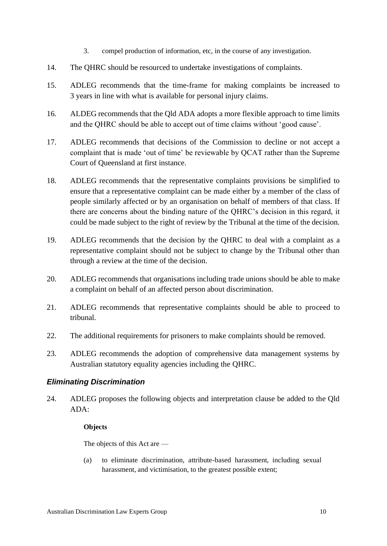- 3. compel production of information, etc, in the course of any investigation.
- 14. The QHRC should be resourced to undertake investigations of complaints.
- 15. ADLEG recommends that the time-frame for making complaints be increased to 3 years in line with what is available for personal injury claims.
- 16. ALDEG recommends that the Qld ADA adopts a more flexible approach to time limits and the QHRC should be able to accept out of time claims without 'good cause'.
- 17. ADLEG recommends that decisions of the Commission to decline or not accept a complaint that is made 'out of time' be reviewable by QCAT rather than the Supreme Court of Queensland at first instance.
- 18. ADLEG recommends that the representative complaints provisions be simplified to ensure that a representative complaint can be made either by a member of the class of people similarly affected or by an organisation on behalf of members of that class. If there are concerns about the binding nature of the QHRC's decision in this regard, it could be made subject to the right of review by the Tribunal at the time of the decision.
- 19. ADLEG recommends that the decision by the QHRC to deal with a complaint as a representative complaint should not be subject to change by the Tribunal other than through a review at the time of the decision.
- 20. ADLEG recommends that organisations including trade unions should be able to make a complaint on behalf of an affected person about discrimination.
- 21. ADLEG recommends that representative complaints should be able to proceed to tribunal.
- 22. The additional requirements for prisoners to make complaints should be removed.
- 23. ADLEG recommends the adoption of comprehensive data management systems by Australian statutory equality agencies including the QHRC.

#### *Eliminating Discrimination*

24. ADLEG proposes the following objects and interpretation clause be added to the Qld ADA:

#### **Objects**

The objects of this Act are —

(a) to eliminate discrimination, attribute-based harassment, including sexual harassment, and victimisation, to the greatest possible extent;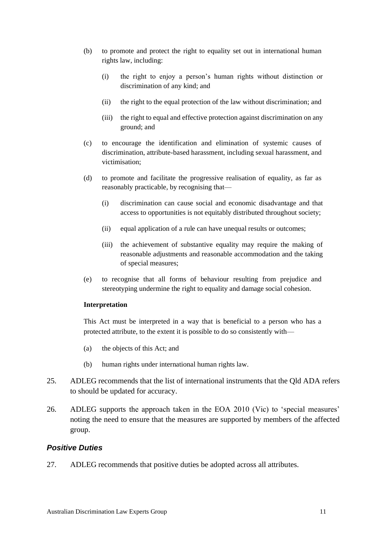- (b) to promote and protect the right to equality set out in international human rights law, including:
	- (i) the right to enjoy a person's human rights without distinction or discrimination of any kind; and
	- (ii) the right to the equal protection of the law without discrimination; and
	- (iii) the right to equal and effective protection against discrimination on any ground; and
- (c) to encourage the identification and elimination of systemic causes of discrimination, attribute-based harassment, including sexual harassment, and victimisation;
- (d) to promote and facilitate the progressive realisation of equality, as far as reasonably practicable, by recognising that—
	- (i) discrimination can cause social and economic disadvantage and that access to opportunities is not equitably distributed throughout society;
	- (ii) equal application of a rule can have unequal results or outcomes;
	- (iii) the achievement of substantive equality may require the making of reasonable adjustments and reasonable accommodation and the taking of special measures;
- (e) to recognise that all forms of behaviour resulting from prejudice and stereotyping undermine the right to equality and damage social cohesion.

#### **Interpretation**

This Act must be interpreted in a way that is beneficial to a person who has a protected attribute, to the extent it is possible to do so consistently with—

- (a) the objects of this Act; and
- (b) human rights under international human rights law.
- 25. ADLEG recommends that the list of international instruments that the Qld ADA refers to should be updated for accuracy.
- 26. ADLEG supports the approach taken in the EOA 2010 (Vic) to 'special measures' noting the need to ensure that the measures are supported by members of the affected group.

#### *Positive Duties*

27. ADLEG recommends that positive duties be adopted across all attributes.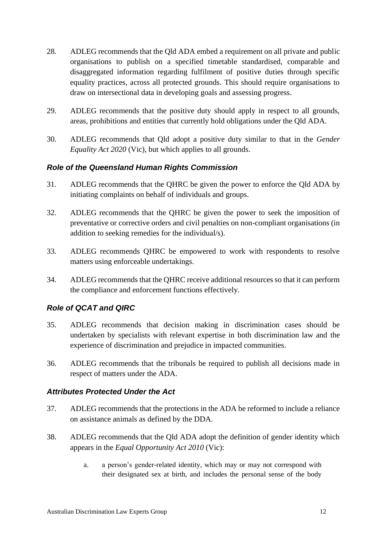- 28. ADLEG recommends that the Qld ADA embed a requirement on all private and public organisations to publish on a specified timetable standardised, comparable and disaggregated information regarding fulfilment of positive duties through specific equality practices, across all protected grounds. This should require organisations to draw on intersectional data in developing goals and assessing progress.
- 29. ADLEG recommends that the positive duty should apply in respect to all grounds, areas, prohibitions and entities that currently hold obligations under the Qld ADA.
- 30. ADLEG recommends that Qld adopt a positive duty similar to that in the *Gender Equality Act 2020* (Vic), but which applies to all grounds.

#### *Role of the Queensland Human Rights Commission*

- 31. ADLEG recommends that the QHRC be given the power to enforce the Qld ADA by initiating complaints on behalf of individuals and groups.
- 32. ADLEG recommends that the QHRC be given the power to seek the imposition of preventative or corrective orders and civil penalties on non-compliant organisations (in addition to seeking remedies for the individual/s).
- 33. ADLEG recommends QHRC be empowered to work with respondents to resolve matters using enforceable undertakings.
- 34. ADLEG recommends that the QHRC receive additional resources so that it can perform the compliance and enforcement functions effectively.

#### *Role of QCAT and QIRC*

- 35. ADLEG recommends that decision making in discrimination cases should be undertaken by specialists with relevant expertise in both discrimination law and the experience of discrimination and prejudice in impacted communities.
- 36. ADLEG recommends that the tribunals be required to publish all decisions made in respect of matters under the ADA.

#### *Attributes Protected Under the Act*

- 37. ADLEG recommends that the protections in the ADA be reformed to include a reliance on assistance animals as defined by the DDA.
- 38. ADLEG recommends that the Qld ADA adopt the definition of gender identity which appears in the *Equal Opportunity Act 2010* (Vic):
	- a. a person's gender-related identity, which may or may not correspond with their designated sex at birth, and includes the personal sense of the body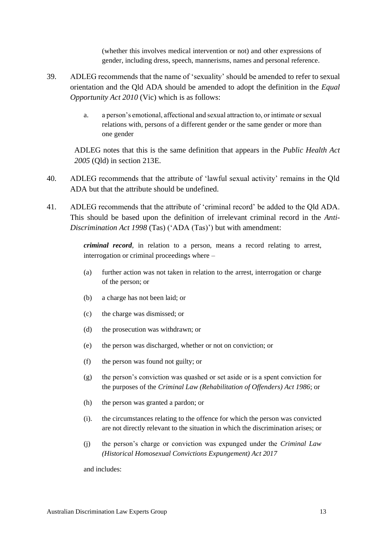(whether this involves medical intervention or not) and other expressions of gender, including dress, speech, mannerisms, names and personal reference.

- 39. ADLEG recommends that the name of 'sexuality' should be amended to refer to sexual orientation and the Qld ADA should be amended to adopt the definition in the *Equal Opportunity Act 2010* (Vic) which is as follows:
	- a. a person's emotional, affectional and sexual attraction to, or intimate or sexual relations with, persons of a different gender or the same gender or more than one gender

ADLEG notes that this is the same definition that appears in the *Public Health Act 2005* (Qld) in section 213E.

- 40. ADLEG recommends that the attribute of 'lawful sexual activity' remains in the Qld ADA but that the attribute should be undefined.
- 41. ADLEG recommends that the attribute of 'criminal record' be added to the Qld ADA. This should be based upon the definition of irrelevant criminal record in the *Anti-Discrimination Act 1998* (Tas) ('ADA (Tas)') but with amendment:

*criminal record*, in relation to a person, means a record relating to arrest, interrogation or criminal proceedings where –

- (a) further action was not taken in relation to the arrest, interrogation or charge of the person; or
- (b) a charge has not been laid; or
- (c) the charge was dismissed; or
- (d) the prosecution was withdrawn; or
- (e) the person was discharged, whether or not on conviction; or
- (f) the person was found not guilty; or
- (g) the person's conviction was quashed or set aside or is a spent conviction for the purposes of the *Criminal Law (Rehabilitation of Offenders) Act 1986*; or
- (h) the person was granted a pardon; or
- (i). the circumstances relating to the offence for which the person was convicted are not directly relevant to the situation in which the discrimination arises; or
- (j) the person's charge or conviction was expunged under the *Criminal Law (Historical Homosexual Convictions Expungement) Act 2017*

and includes: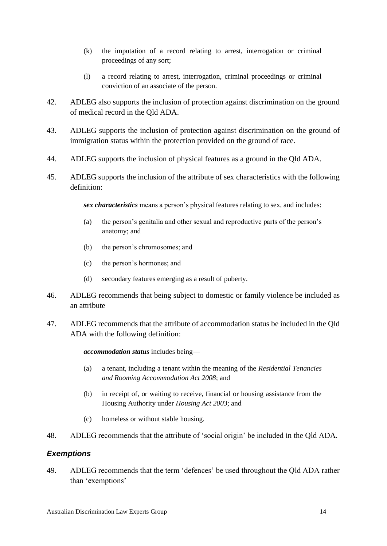- (k) the imputation of a record relating to arrest, interrogation or criminal proceedings of any sort;
- (l) a record relating to arrest, interrogation, criminal proceedings or criminal conviction of an associate of the person.
- 42. ADLEG also supports the inclusion of protection against discrimination on the ground of medical record in the Qld ADA.
- 43. ADLEG supports the inclusion of protection against discrimination on the ground of immigration status within the protection provided on the ground of race.
- 44. ADLEG supports the inclusion of physical features as a ground in the Qld ADA.
- 45. ADLEG supports the inclusion of the attribute of sex characteristics with the following definition:

*sex characteristics* means a person's physical features relating to sex, and includes:

- (a) the person's genitalia and other sexual and reproductive parts of the person's anatomy; and
- (b) the person's chromosomes; and
- (c) the person's hormones; and
- (d) secondary features emerging as a result of puberty.
- 46. ADLEG recommends that being subject to domestic or family violence be included as an attribute
- 47. ADLEG recommends that the attribute of accommodation status be included in the Qld ADA with the following definition:

#### *accommodation status* includes being—

- (a) a tenant, including a tenant within the meaning of the *Residential Tenancies and Rooming Accommodation Act 2008*; and
- (b) in receipt of, or waiting to receive, financial or housing assistance from the Housing Authority under *Housing Act 2003*; and
- (c) homeless or without stable housing.
- 48. ADLEG recommends that the attribute of 'social origin' be included in the Qld ADA.

#### *Exemptions*

49. ADLEG recommends that the term 'defences' be used throughout the Qld ADA rather than 'exemptions'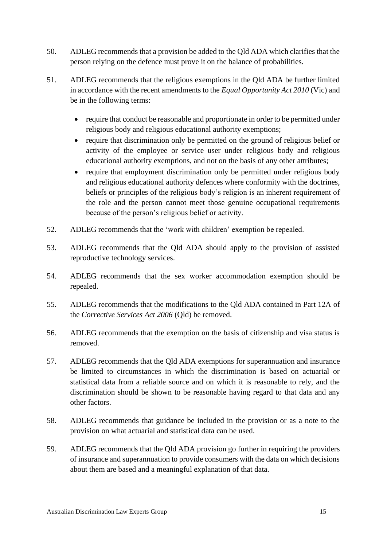- 50. ADLEG recommends that a provision be added to the Qld ADA which clarifies that the person relying on the defence must prove it on the balance of probabilities.
- 51. ADLEG recommends that the religious exemptions in the Qld ADA be further limited in accordance with the recent amendments to the *Equal Opportunity Act 2010* (Vic) and be in the following terms:
	- require that conduct be reasonable and proportionate in order to be permitted under religious body and religious educational authority exemptions;
	- require that discrimination only be permitted on the ground of religious belief or activity of the employee or service user under religious body and religious educational authority exemptions, and not on the basis of any other attributes;
	- require that employment discrimination only be permitted under religious body and religious educational authority defences where conformity with the doctrines, beliefs or principles of the religious body's religion is an inherent requirement of the role and the person cannot meet those genuine occupational requirements because of the person's religious belief or activity.
- 52. ADLEG recommends that the 'work with children' exemption be repealed.
- 53. ADLEG recommends that the Qld ADA should apply to the provision of assisted reproductive technology services.
- 54. ADLEG recommends that the sex worker accommodation exemption should be repealed.
- 55. ADLEG recommends that the modifications to the Qld ADA contained in Part 12A of the *Corrective Services Act 2006* (Qld) be removed.
- 56. ADLEG recommends that the exemption on the basis of citizenship and visa status is removed.
- 57. ADLEG recommends that the Qld ADA exemptions for superannuation and insurance be limited to circumstances in which the discrimination is based on actuarial or statistical data from a reliable source and on which it is reasonable to rely, and the discrimination should be shown to be reasonable having regard to that data and any other factors.
- 58. ADLEG recommends that guidance be included in the provision or as a note to the provision on what actuarial and statistical data can be used.
- 59. ADLEG recommends that the Qld ADA provision go further in requiring the providers of insurance and superannuation to provide consumers with the data on which decisions about them are based and a meaningful explanation of that data.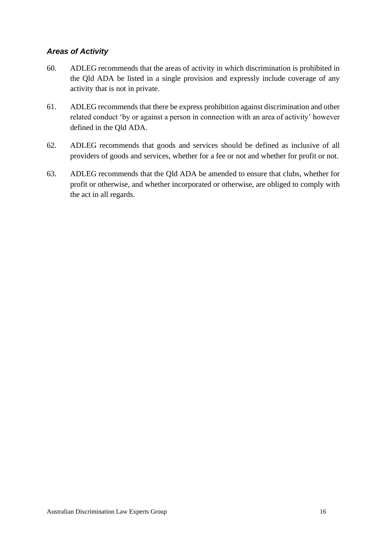#### *Areas of Activity*

- 60. ADLEG recommends that the areas of activity in which discrimination is prohibited in the Qld ADA be listed in a single provision and expressly include coverage of any activity that is not in private.
- 61. ADLEG recommends that there be express prohibition against discrimination and other related conduct 'by or against a person in connection with an area of activity' however defined in the Qld ADA.
- 62. ADLEG recommends that goods and services should be defined as inclusive of all providers of goods and services, whether for a fee or not and whether for profit or not.
- 63. ADLEG recommends that the Qld ADA be amended to ensure that clubs, whether for profit or otherwise, and whether incorporated or otherwise, are obliged to comply with the act in all regards.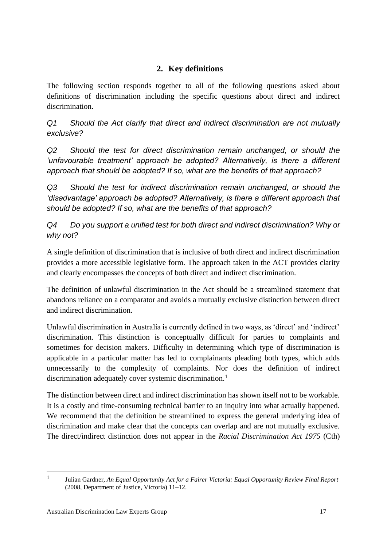### **2. Key definitions**

<span id="page-17-0"></span>The following section responds together to all of the following questions asked about definitions of discrimination including the specific questions about direct and indirect discrimination.

*Q1 Should the Act clarify that direct and indirect discrimination are not mutually exclusive?* 

*Q2 Should the test for direct discrimination remain unchanged, or should the 'unfavourable treatment' approach be adopted? Alternatively, is there a different approach that should be adopted? If so, what are the benefits of that approach?* 

*Q3 Should the test for indirect discrimination remain unchanged, or should the 'disadvantage' approach be adopted? Alternatively, is there a different approach that should be adopted? If so, what are the benefits of that approach?*

*Q4 Do you support a unified test for both direct and indirect discrimination? Why or why not?* 

A single definition of discrimination that is inclusive of both direct and indirect discrimination provides a more accessible legislative form. The approach taken in the ACT provides clarity and clearly encompasses the concepts of both direct and indirect discrimination.

The definition of unlawful discrimination in the Act should be a streamlined statement that abandons reliance on a comparator and avoids a mutually exclusive distinction between direct and indirect discrimination.

Unlawful discrimination in Australia is currently defined in two ways, as 'direct' and 'indirect' discrimination. This distinction is conceptually difficult for parties to complaints and sometimes for decision makers. Difficulty in determining which type of discrimination is applicable in a particular matter has led to complainants pleading both types, which adds unnecessarily to the complexity of complaints. Nor does the definition of indirect discrimination adequately cover systemic discrimination.<sup>1</sup>

The distinction between direct and indirect discrimination has shown itself not to be workable. It is a costly and time-consuming technical barrier to an inquiry into what actually happened. We recommend that the definition be streamlined to express the general underlying idea of discrimination and make clear that the concepts can overlap and are not mutually exclusive. The direct/indirect distinction does not appear in the *Racial Discrimination Act 1975* (Cth)

<sup>1</sup> Julian Gardner, *An Equal Opportunity Act for a Fairer Victoria: Equal Opportunity Review Final Report* (2008, Department of Justice, Victoria) 11–12.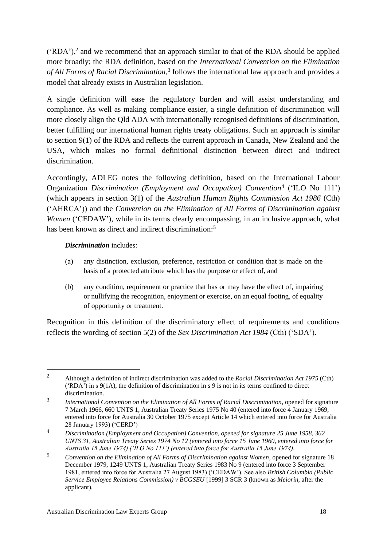$({'RDA'})$ ,<sup>2</sup> and we recommend that an approach similar to that of the RDA should be applied more broadly; the RDA definition, based on the *International Convention on the Elimination of All Forms of Racial Discrimination*, 3 follows the international law approach and provides a model that already exists in Australian legislation.

A single definition will ease the regulatory burden and will assist understanding and compliance. As well as making compliance easier, a single definition of discrimination will more closely align the Qld ADA with internationally recognised definitions of discrimination, better fulfilling our international human rights treaty obligations. Such an approach is similar to section 9(1) of the RDA and reflects the current approach in Canada, New Zealand and the USA, which makes no formal definitional distinction between direct and indirect discrimination.

Accordingly, ADLEG notes the following definition, based on the International Labour Organization *Discrimination (Employment and Occupation) Convention*<sup>4</sup> ('ILO No 111') (which appears in section 3(1) of the *Australian Human Rights Commission Act 1986* (Cth) ('AHRCA')) and the *Convention on the Elimination of All Forms of Discrimination against Women* ('CEDAW'), while in its terms clearly encompassing, in an inclusive approach, what has been known as direct and indirect discrimination:<sup>5</sup>

#### <span id="page-18-1"></span><span id="page-18-0"></span>*Discrimination* includes:

- (a) any distinction, exclusion, preference, restriction or condition that is made on the basis of a protected attribute which has the purpose or effect of, and
- (b) any condition, requirement or practice that has or may have the effect of, impairing or nullifying the recognition, enjoyment or exercise, on an equal footing, of equality of opportunity or treatment.

Recognition in this definition of the discriminatory effect of requirements and conditions reflects the wording of section 5(2) of the *Sex Discrimination Act 1984* (Cth) ('SDA').

<sup>2</sup> Although a definition of indirect discrimination was added to the *Racial Discrimination Act 1975* (Cth) ('RDA') in s 9(1A), the definition of discrimination in s 9 is not in its terms confined to direct discrimination.

<sup>3</sup> *International Convention on the Elimination of All Forms of Racial Discrimination*, opened for signature 7 March 1966, 660 UNTS 1, Australian Treaty Series 1975 No 40 (entered into force 4 January 1969, entered into force for Australia 30 October 1975 except Article 14 which entered into force for Australia 28 January 1993) ('CERD')

<sup>4</sup> *Discrimination (Employment and Occupation) Convention, opened for signature 25 June 1958, 362 UNTS 31, Australian Treaty Series 1974 No 12 (entered into force 15 June 1960, entered into force for Australia 15 June 1974) ('ILO No 111') (entered into force for Australia 15 June 1974).*

<sup>5</sup> *Convention on the Elimination of All Forms of Discrimination against Women*, opened for signature 18 December 1979, 1249 UNTS 1, Australian Treaty Series 1983 No 9 (entered into force 3 September 1981, entered into force for Australia 27 August 1983) ('CEDAW'). See also *British Columbia (Public Service Employee Relations Commission) v BCGSEU* [1999] 3 SCR 3 (known as *Meiorin*, after the applicant).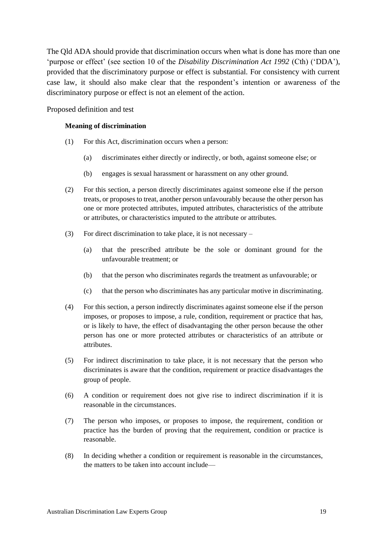The Qld ADA should provide that discrimination occurs when what is done has more than one 'purpose or effect' (see section 10 of the *Disability Discrimination Act 1992* (Cth) ('DDA'), provided that the discriminatory purpose or effect is substantial. For consistency with current case law, it should also make clear that the respondent's intention or awareness of the discriminatory purpose or effect is not an element of the action.

Proposed definition and test

#### **Meaning of discrimination**

- (1) For this Act, discrimination occurs when a person:
	- (a) discriminates either directly or indirectly, or both, against someone else; or
	- (b) engages is sexual harassment or harassment on any other ground.
- (2) For this section, a person directly discriminates against someone else if the person treats, or proposes to treat, another person unfavourably because the other person has one or more protected attributes, imputed attributes, characteristics of the attribute or attributes, or characteristics imputed to the attribute or attributes.
- (3) For direct discrimination to take place, it is not necessary
	- (a) that the prescribed attribute be the sole or dominant ground for the unfavourable treatment; or
	- (b) that the person who discriminates regards the treatment as unfavourable; or
	- (c) that the person who discriminates has any particular motive in discriminating.
- (4) For this section, a person indirectly discriminates against someone else if the person imposes, or proposes to impose, a rule, condition, requirement or practice that has, or is likely to have, the effect of disadvantaging the other person because the other person has one or more protected attributes or characteristics of an attribute or attributes.
- (5) For indirect discrimination to take place, it is not necessary that the person who discriminates is aware that the condition, requirement or practice disadvantages the group of people.
- (6) A condition or requirement does not give rise to indirect discrimination if it is reasonable in the circumstances.
- (7) The person who imposes, or proposes to impose, the requirement, condition or practice has the burden of proving that the requirement, condition or practice is reasonable.
- (8) In deciding whether a condition or requirement is reasonable in the circumstances, the matters to be taken into account include—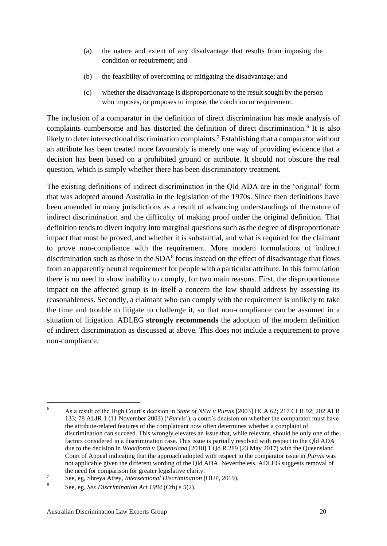- (a) the nature and extent of any disadvantage that results from imposing the condition or requirement; and
- (b) the feasibility of overcoming or mitigating the disadvantage; and
- (c) whether the disadvantage is disproportionate to the result sought by the person who imposes, or proposes to impose, the condition or requirement.

The inclusion of a comparator in the definition of direct discrimination has made analysis of complaints cumbersome and has distorted the definition of direct discrimination.<sup>6</sup> It is also likely to deter intersectional discrimination complaints.<sup>7</sup> Establishing that a comparator without an attribute has been treated more favourably is merely one way of providing evidence that a decision has been based on a prohibited ground or attribute. It should not obscure the real question, which is simply whether there has been discriminatory treatment.

The existing definitions of indirect discrimination in the Qld ADA are in the 'original' form that was adopted around Australia in the legislation of the 1970s. Since then definitions have been amended in many jurisdictions as a result of advancing understandings of the nature of indirect discrimination and the difficulty of making proof under the original definition. That definition tends to divert inquiry into marginal questions such as the degree of disproportionate impact that must be proved, and whether it is substantial, and what is required for the claimant to prove non-compliance with the requirement. More modern formulations of indirect discrimination such as those in the SDA<sup>8</sup> focus instead on the effect of disadvantage that flows from an apparently neutral requirement for people with a particular attribute. In this formulation there is no need to show inability to comply, for two main reasons. First, the disproportionate impact on the affected group is in itself a concern the law should address by assessing its reasonableness. Secondly, a claimant who can comply with the requirement is unlikely to take the time and trouble to litigate to challenge it, so that non-compliance can be assumed in a situation of litigation. ADLEG **strongly recommends** the adoption of the modern definition of indirect discrimination as discussed at above. This does not include a requirement to prove non-compliance.

<sup>6</sup> As a result of the High Court's decision in *State of NSW v Purvis* [2003] HCA 62; 217 CLR 92; 202 ALR 133; 78 ALJR 1 (11 November 2003) ('*Purvis*'), a court's decision on whether the comparator must have the attribute-related features of the complainant now often determines whether a complaint of discrimination can succeed. This wrongly elevates an issue that, while relevant, should be only one of the factors considered in a discrimination case. This issue is partially resolved with respect to the Qld ADA due to the decision in *Woodforth v Queensland* [2018] 1 Qd R 289 (23 May 2017) with the Queensland Court of Appeal indicating that the approach adopted with respect to the comparator issue in *Purvis* was not applicable given the different wording of the Qld ADA. Nevertheless, ADLEG suggests removal of the need for comparison for greater legislative clarity.

<sup>7</sup> See, eg, Shreya Atrey, *Intersectional Discrimination* (OUP, 2019).

<sup>8</sup> See, eg, *Sex Discrimination Act 1984* (Cth) s 5(2).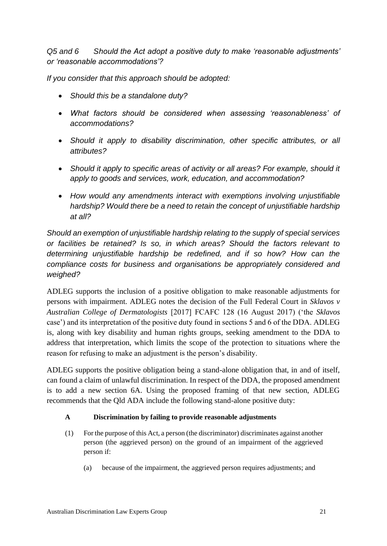*Q5 and 6 Should the Act adopt a positive duty to make 'reasonable adjustments' or 'reasonable accommodations'?* 

*If you consider that this approach should be adopted:*

- *Should this be a standalone duty?*
- *What factors should be considered when assessing 'reasonableness' of accommodations?*
- *Should it apply to disability discrimination, other specific attributes, or all attributes?*
- *Should it apply to specific areas of activity or all areas? For example, should it apply to goods and services, work, education, and accommodation?*
- *How would any amendments interact with exemptions involving unjustifiable hardship? Would there be a need to retain the concept of unjustifiable hardship at all?*

*Should an exemption of unjustifiable hardship relating to the supply of special services or facilities be retained? Is so, in which areas? Should the factors relevant to determining unjustifiable hardship be redefined, and if so how? How can the compliance costs for business and organisations be appropriately considered and weighed?* 

ADLEG supports the inclusion of a positive obligation to make reasonable adjustments for persons with impairment. ADLEG notes the decision of the Full Federal Court in *Sklavos v Australian College of Dermatologists* [2017] FCAFC 128 (16 August 2017) ('the *Sklavos*  case') and its interpretation of the positive duty found in sections 5 and 6 of the DDA. ADLEG is, along with key disability and human rights groups, seeking amendment to the DDA to address that interpretation, which limits the scope of the protection to situations where the reason for refusing to make an adjustment is the person's disability.

ADLEG supports the positive obligation being a stand-alone obligation that, in and of itself, can found a claim of unlawful discrimination. In respect of the DDA, the proposed amendment is to add a new section 6A. Using the proposed framing of that new section, ADLEG recommends that the Qld ADA include the following stand-alone positive duty:

#### **A Discrimination by failing to provide reasonable adjustments**

- (1) For the purpose of this Act, a person (the discriminator) discriminates against another person (the aggrieved person) on the ground of an impairment of the aggrieved person if:
	- (a) because of the impairment, the aggrieved person requires adjustments; and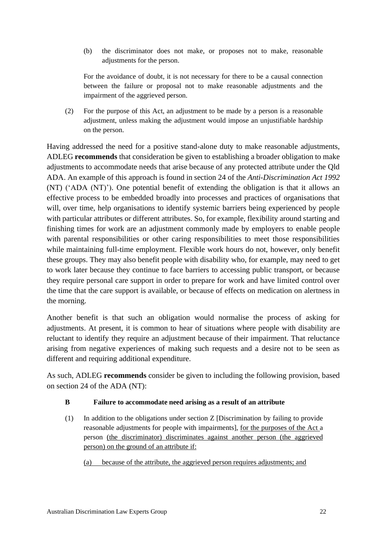(b) the discriminator does not make, or proposes not to make, reasonable adjustments for the person.

For the avoidance of doubt, it is not necessary for there to be a causal connection between the failure or proposal not to make reasonable adjustments and the impairment of the aggrieved person.

(2) For the purpose of this Act, an adjustment to be made by a person is a reasonable adjustment, unless making the adjustment would impose an unjustifiable hardship on the person.

Having addressed the need for a positive stand-alone duty to make reasonable adjustments, ADLEG **recommends** that consideration be given to establishing a broader obligation to make adjustments to accommodate needs that arise because of any protected attribute under the Qld ADA. An example of this approach is found in section 24 of the *Anti-Discrimination Act 1992* (NT) ('ADA (NT)'). One potential benefit of extending the obligation is that it allows an effective process to be embedded broadly into processes and practices of organisations that will, over time, help organisations to identify systemic barriers being experienced by people with particular attributes or different attributes. So, for example, flexibility around starting and finishing times for work are an adjustment commonly made by employers to enable people with parental responsibilities or other caring responsibilities to meet those responsibilities while maintaining full-time employment. Flexible work hours do not, however, only benefit these groups. They may also benefit people with disability who, for example, may need to get to work later because they continue to face barriers to accessing public transport, or because they require personal care support in order to prepare for work and have limited control over the time that the care support is available, or because of effects on medication on alertness in the morning.

Another benefit is that such an obligation would normalise the process of asking for adjustments. At present, it is common to hear of situations where people with disability are reluctant to identify they require an adjustment because of their impairment. That reluctance arising from negative experiences of making such requests and a desire not to be seen as different and requiring additional expenditure.

As such, ADLEG **recommends** consider be given to including the following provision, based on section 24 of the ADA (NT):

#### **B Failure to accommodate need arising as a result of an attribute**

(1) In addition to the obligations under section Z [Discrimination by failing to provide reasonable adjustments for people with impairments], for the purposes of the Act a person (the discriminator) discriminates against another person (the aggrieved person) on the ground of an attribute if:

(a) because of the attribute, the aggrieved person requires adjustments; and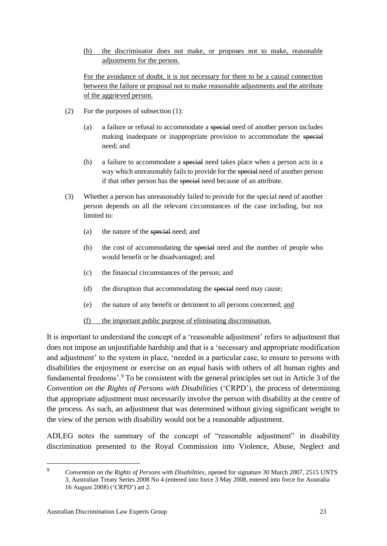(b) the discriminator does not make, or proposes not to make, reasonable adjustments for the person.

For the avoidance of doubt, it is not necessary for there to be a causal connection between the failure or proposal not to make reasonable adjustments and the attribute of the aggrieved person.

- (2) For the purposes of subsection (1):
	- (a) a failure or refusal to accommodate a special need of another person includes making inadequate or inappropriate provision to accommodate the special need; and
	- (b) a failure to accommodate a special need takes place when a person acts in a way which unreasonably fails to provide for the special need of another person if that other person has the special need because of an attribute.
- (3) Whether a person has unreasonably failed to provide for the special need of another person depends on all the relevant circumstances of the case including, but not limited to:
	- (a) the nature of the special need; and
	- (b) the cost of accommodating the special need and the number of people who would benefit or be disadvantaged; and
	- (c) the financial circumstances of the person; and
	- (d) the disruption that accommodating the special need may cause;
	- (e) the nature of any benefit or detriment to all persons concerned; and
	- (f) the important public purpose of eliminating discrimination.

It is important to understand the concept of a 'reasonable adjustment' refers to adjustment that does not impose an unjustifiable hardship and that is a 'necessary and appropriate modification and adjustment' to the system in place, 'needed in a particular case, to ensure to persons with disabilities the enjoyment or exercise on an equal basis with others of all human rights and fundamental freedoms'. <sup>9</sup> To be consistent with the general principles set out in Article 3 of the *Convention on the Rights of Persons with Disabilities* ('CRPD'), the process of determining that appropriate adjustment must necessarily involve the person with disability at the centre of the process. As such, an adjustment that was determined without giving significant weight to the view of the person with disability would not be a reasonable adjustment.

ADLEG notes the summary of the concept of "reasonable adjustment" in disability discrimination presented to the Royal Commission into Violence, Abuse, Neglect and

<sup>9</sup> *Convention on the Rights of Persons with Disabilities*, opened for signature 30 March 2007, 2515 UNTS 3, Australian Treaty Series 2008 No 4 (entered into force 3 May 2008, entered into force for Australia 16 August 2008) ('CRPD') art 2.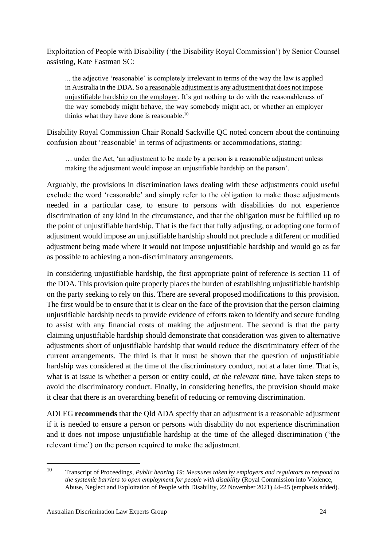Exploitation of People with Disability ('the Disability Royal Commission') by Senior Counsel assisting, Kate Eastman SC:

... the adjective 'reasonable' is completely irrelevant in terms of the way the law is applied in Australia in the DDA. So a reasonable adjustment is any adjustment that does not impose unjustifiable hardship on the employer. It's got nothing to do with the reasonableness of the way somebody might behave, the way somebody might act, or whether an employer thinks what they have done is reasonable.<sup>10</sup>

Disability Royal Commission Chair Ronald Sackville QC noted concern about the continuing confusion about 'reasonable' in terms of adjustments or accommodations, stating:

… under the Act, 'an adjustment to be made by a person is a reasonable adjustment unless making the adjustment would impose an unjustifiable hardship on the person'.

Arguably, the provisions in discrimination laws dealing with these adjustments could useful exclude the word 'reasonable' and simply refer to the obligation to make those adjustments needed in a particular case, to ensure to persons with disabilities do not experience discrimination of any kind in the circumstance, and that the obligation must be fulfilled up to the point of unjustifiable hardship. That is the fact that fully adjusting, or adopting one form of adjustment would impose an unjustifiable hardship should not preclude a different or modified adjustment being made where it would not impose unjustifiable hardship and would go as far as possible to achieving a non-discriminatory arrangements.

In considering unjustifiable hardship, the first appropriate point of reference is section 11 of the DDA. This provision quite properly places the burden of establishing unjustifiable hardship on the party seeking to rely on this. There are several proposed modifications to this provision. The first would be to ensure that it is clear on the face of the provision that the person claiming unjustifiable hardship needs to provide evidence of efforts taken to identify and secure funding to assist with any financial costs of making the adjustment. The second is that the party claiming unjustifiable hardship should demonstrate that consideration was given to alternative adjustments short of unjustifiable hardship that would reduce the discriminatory effect of the current arrangements. The third is that it must be shown that the question of unjustifiable hardship was considered at the time of the discriminatory conduct, not at a later time. That is, what is at issue is whether a person or entity could, *at the relevant time*, have taken steps to avoid the discriminatory conduct. Finally, in considering benefits, the provision should make it clear that there is an overarching benefit of reducing or removing discrimination.

ADLEG **recommends** that the Qld ADA specify that an adjustment is a reasonable adjustment if it is needed to ensure a person or persons with disability do not experience discrimination and it does not impose unjustifiable hardship at the time of the alleged discrimination ('the relevant time') on the person required to make the adjustment.

<sup>10</sup> Transcript of Proceedings, *Public hearing 19: Measures taken by employers and regulators to respond to the systemic barriers to open employment for people with disability* (Royal Commission into Violence, Abuse, Neglect and Exploitation of People with Disability, 22 November 2021) 44–45 (emphasis added).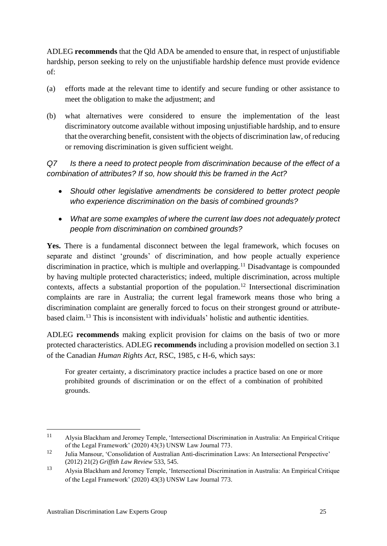ADLEG **recommends** that the Qld ADA be amended to ensure that, in respect of unjustifiable hardship, person seeking to rely on the unjustifiable hardship defence must provide evidence of:

- (a) efforts made at the relevant time to identify and secure funding or other assistance to meet the obligation to make the adjustment; and
- (b) what alternatives were considered to ensure the implementation of the least discriminatory outcome available without imposing unjustifiable hardship, and to ensure that the overarching benefit, consistent with the objects of discrimination law, of reducing or removing discrimination is given sufficient weight.

*Q7 Is there a need to protect people from discrimination because of the effect of a combination of attributes? If so, how should this be framed in the Act?* 

- *Should other legislative amendments be considered to better protect people who experience discrimination on the basis of combined grounds?*
- *What are some examples of where the current law does not adequately protect people from discrimination on combined grounds?*

**Yes.** There is a fundamental disconnect between the legal framework, which focuses on separate and distinct 'grounds' of discrimination, and how people actually experience discrimination in practice, which is multiple and overlapping.<sup>11</sup> Disadvantage is compounded by having multiple protected characteristics; indeed, multiple discrimination, across multiple contexts, affects a substantial proportion of the population.<sup>12</sup> Intersectional discrimination complaints are rare in Australia; the current legal framework means those who bring a discrimination complaint are generally forced to focus on their strongest ground or attributebased claim.<sup>13</sup> This is inconsistent with individuals' holistic and authentic identities.

ADLEG **recommends** making explicit provision for claims on the basis of two or more protected characteristics. ADLEG **recommends** including a provision modelled on section 3.1 of the Canadian *Human Rights Act*, RSC, 1985, c H-6, which says:

For greater certainty, a discriminatory practice includes a practice based on one or more prohibited grounds of discrimination or on the effect of a combination of prohibited grounds.

<sup>11</sup> Alysia Blackham and Jeromey Temple, 'Intersectional Discrimination in Australia: An Empirical Critique of the Legal Framework' (2020) 43(3) UNSW Law Journal 773.

<sup>12</sup> Julia Mansour, 'Consolidation of Australian Anti-discrimination Laws: An Intersectional Perspective' (2012) 21(2) *Griffith Law Review* 533, 545.

<sup>13</sup> Alysia Blackham and Jeromey Temple, 'Intersectional Discrimination in Australia: An Empirical Critique of the Legal Framework' (2020) 43(3) UNSW Law Journal 773.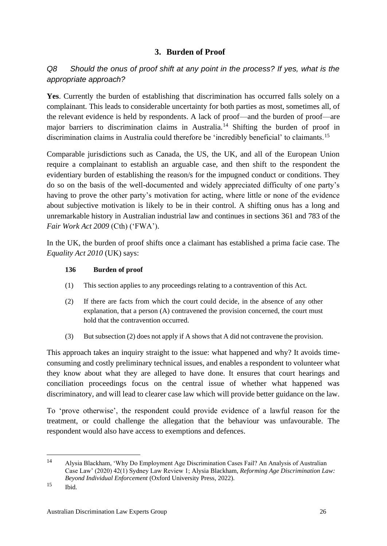### **3. Burden of Proof**

### <span id="page-26-0"></span>*Q8 Should the onus of proof shift at any point in the process? If yes, what is the appropriate approach?*

**Yes**. Currently the burden of establishing that discrimination has occurred falls solely on a complainant. This leads to considerable uncertainty for both parties as most, sometimes all, of the relevant evidence is held by respondents. A lack of proof—and the burden of proof—are major barriers to discrimination claims in Australia.<sup>14</sup> Shifting the burden of proof in discrimination claims in Australia could therefore be 'incredibly beneficial' to claimants.<sup>15</sup>

Comparable jurisdictions such as Canada, the US, the UK, and all of the European Union require a complainant to establish an arguable case, and then shift to the respondent the evidentiary burden of establishing the reason/s for the impugned conduct or conditions. They do so on the basis of the well-documented and widely appreciated difficulty of one party's having to prove the other party's motivation for acting, where little or none of the evidence about subjective motivation is likely to be in their control. A shifting onus has a long and unremarkable history in Australian industrial law and continues in sections 361 and 783 of the *Fair Work Act 2009* (Cth) ('FWA').

In the UK, the burden of proof shifts once a claimant has established a prima facie case. The *Equality Act 2010* (UK) says:

#### **136 Burden of proof**

- (1) This section applies to any proceedings relating to a contravention of this Act.
- (2) If there are facts from which the court could decide, in the absence of any other explanation, that a person (A) contravened the provision concerned, the court must hold that the contravention occurred.
- (3) But subsection (2) does not apply if A shows that A did not contravene the provision.

This approach takes an inquiry straight to the issue: what happened and why? It avoids timeconsuming and costly preliminary technical issues, and enables a respondent to volunteer what they know about what they are alleged to have done. It ensures that court hearings and conciliation proceedings focus on the central issue of whether what happened was discriminatory, and will lead to clearer case law which will provide better guidance on the law.

To 'prove otherwise', the respondent could provide evidence of a lawful reason for the treatment, or could challenge the allegation that the behaviour was unfavourable. The respondent would also have access to exemptions and defences.

<sup>14</sup> Alysia Blackham, 'Why Do Employment Age Discrimination Cases Fail? An Analysis of Australian Case Law' (2020) 42(1) Sydney Law Review 1; Alysia Blackham, *Reforming Age Discrimination Law: Beyond Individual Enforcement* (Oxford University Press, 2022).

 $^{15}$  Ibid.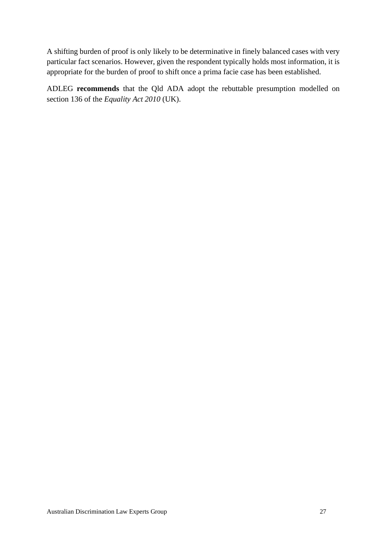A shifting burden of proof is only likely to be determinative in finely balanced cases with very particular fact scenarios. However, given the respondent typically holds most information, it is appropriate for the burden of proof to shift once a prima facie case has been established.

ADLEG **recommends** that the Qld ADA adopt the rebuttable presumption modelled on section 136 of the *Equality Act 2010* (UK).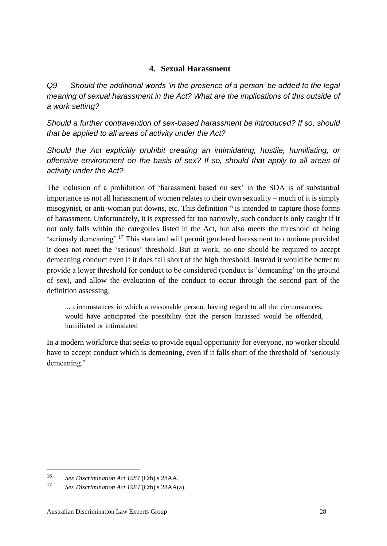### **4. Sexual Harassment**

<span id="page-28-0"></span>*Q9 Should the additional words 'in the presence of a person' be added to the legal meaning of sexual harassment in the Act? What are the implications of this outside of a work setting?*

*Should a further contravention of sex-based harassment be introduced? If so, should that be applied to all areas of activity under the Act?* 

*Should the Act explicitly prohibit creating an intimidating, hostile, humiliating, or offensive environment on the basis of sex? If so, should that apply to all areas of activity under the Act?*

The inclusion of a prohibition of 'harassment based on sex' in the SDA is of substantial importance as not all harassment of women relates to their own sexuality – much of it is simply misogynist, or anti-woman put downs, etc. This definition<sup>16</sup> is intended to capture those forms of harassment. Unfortunately, it is expressed far too narrowly, such conduct is only caught if it not only falls within the categories listed in the Act, but also meets the threshold of being 'seriously demeaning'.<sup>17</sup> This standard will permit gendered harassment to continue provided it does not meet the 'serious' threshold. But at work, no-one should be required to accept demeaning conduct even if it does fall short of the high threshold. Instead it would be better to provide a lower threshold for conduct to be considered (conduct is 'demeaning' on the ground of sex), and allow the evaluation of the conduct to occur through the second part of the definition assessing:

... circumstances in which a reasonable person, having regard to all the circumstances, would have anticipated the possibility that the person harassed would be offended, humiliated or intimidated

In a modern workforce that seeks to provide equal opportunity for everyone, no worker should have to accept conduct which is demeaning, even if it falls short of the threshold of 'seriously demeaning.'

<sup>16</sup> *Sex Discrimination Act 1984* (Cth) s 28AA.

<sup>17</sup> *Sex Discrimination Act 1984* (Cth) s 28AA(a).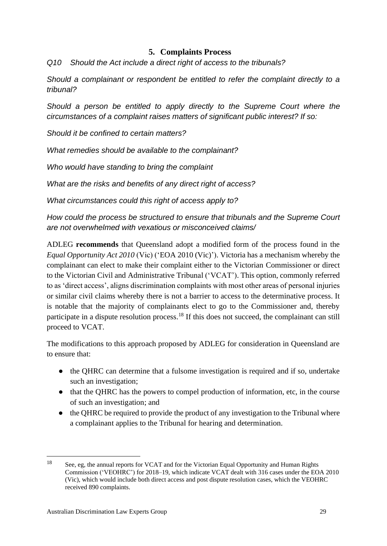### **5. Complaints Process**

<span id="page-29-0"></span>*Q10 Should the Act include a direct right of access to the tribunals?* 

*Should a complainant or respondent be entitled to refer the complaint directly to a tribunal?* 

*Should a person be entitled to apply directly to the Supreme Court where the circumstances of a complaint raises matters of significant public interest? If so:* 

*Should it be confined to certain matters?* 

*What remedies should be available to the complainant?* 

*Who would have standing to bring the complaint*

*What are the risks and benefits of any direct right of access?* 

*What circumstances could this right of access apply to?* 

*How could the process be structured to ensure that tribunals and the Supreme Court are not overwhelmed with vexatious or misconceived claims/*

ADLEG **recommends** that Queensland adopt a modified form of the process found in the *Equal Opportunity Act 2010* (Vic) ('EOA 2010 (Vic)'). Victoria has a mechanism whereby the complainant can elect to make their complaint either to the Victorian Commissioner or direct to the Victorian Civil and Administrative Tribunal ('VCAT'). This option, commonly referred to as 'direct access', aligns discrimination complaints with most other areas of personal injuries or similar civil claims whereby there is not a barrier to access to the determinative process. It is notable that the majority of complainants elect to go to the Commissioner and, thereby participate in a dispute resolution process.<sup>18</sup> If this does not succeed, the complainant can still proceed to VCAT.

The modifications to this approach proposed by ADLEG for consideration in Queensland are to ensure that:

- the QHRC can determine that a fulsome investigation is required and if so, undertake such an investigation;
- that the QHRC has the powers to compel production of information, etc, in the course of such an investigation; and
- the QHRC be required to provide the product of any investigation to the Tribunal where a complainant applies to the Tribunal for hearing and determination.

<sup>&</sup>lt;sup>18</sup> See, eg, the annual reports for VCAT and for the Victorian Equal Opportunity and Human Rights Commission ('VEOHRC') for 2018–19, which indicate VCAT dealt with 316 cases under the EOA 2010 (Vic), which would include both direct access and post dispute resolution cases, which the VEOHRC received 890 complaints.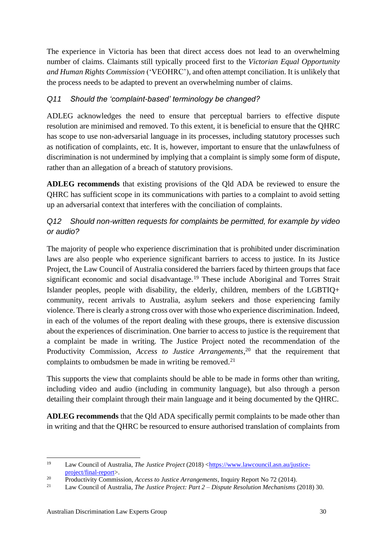The experience in Victoria has been that direct access does not lead to an overwhelming number of claims. Claimants still typically proceed first to the *Victorian Equal Opportunity and Human Rights Commission* ('VEOHRC'), and often attempt conciliation. It is unlikely that the process needs to be adapted to prevent an overwhelming number of claims.

#### *Q11 Should the 'complaint-based' terminology be changed?*

ADLEG acknowledges the need to ensure that perceptual barriers to effective dispute resolution are minimised and removed. To this extent, it is beneficial to ensure that the QHRC has scope to use non-adversarial language in its processes, including statutory processes such as notification of complaints, etc. It is, however, important to ensure that the unlawfulness of discrimination is not undermined by implying that a complaint is simply some form of dispute, rather than an allegation of a breach of statutory provisions.

**ADLEG recommends** that existing provisions of the Qld ADA be reviewed to ensure the QHRC has sufficient scope in its communications with parties to a complaint to avoid setting up an adversarial context that interferes with the conciliation of complaints.

### *Q12 Should non-written requests for complaints be permitted, for example by video or audio?*

The majority of people who experience discrimination that is prohibited under discrimination laws are also people who experience significant barriers to access to justice. In its Justice Project, the Law Council of Australia considered the barriers faced by thirteen groups that face significant economic and social disadvantage.<sup>19</sup> These include Aboriginal and Torres Strait Islander peoples, people with disability, the elderly, children, members of the LGBTIQ+ community, recent arrivals to Australia, asylum seekers and those experiencing family violence. There is clearly a strong cross over with those who experience discrimination. Indeed, in each of the volumes of the report dealing with these groups, there is extensive discussion about the experiences of discrimination. One barrier to access to justice is the requirement that a complaint be made in writing. The Justice Project noted the recommendation of the Productivity Commission, *Access to Justice Arrangements*, <sup>20</sup> that the requirement that complaints to ombudsmen be made in writing be removed.<sup>21</sup>

This supports the view that complaints should be able to be made in forms other than writing, including video and audio (including in community language), but also through a person detailing their complaint through their main language and it being documented by the QHRC.

**ADLEG recommends** that the Qld ADA specifically permit complaints to be made other than in writing and that the QHRC be resourced to ensure authorised translation of complaints from

<sup>19</sup> Law Council of Australia, *The Justice Project* (2018) [<https://www.lawcouncil.asn.au/justice](https://www.lawcouncil.asn.au/justice-project/final-report)[project/final-report>](https://www.lawcouncil.asn.au/justice-project/final-report).

<sup>&</sup>lt;sup>20</sup> Productivity Commission, *Access to Justice Arrangements*, Inquiry Report No 72 (2014).

<sup>21</sup> Law Council of Australia, *The Justice Project: Part 2 – Dispute Resolution Mechanisms* (2018) 30.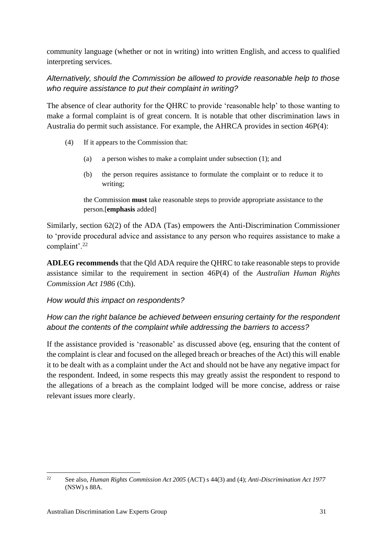community language (whether or not in writing) into written English, and access to qualified interpreting services.

*Alternatively, should the Commission be allowed to provide reasonable help to those who require assistance to put their complaint in writing?*

The absence of clear authority for the QHRC to provide 'reasonable help' to those wanting to make a formal complaint is of great concern. It is notable that other discrimination laws in Australia do permit such assistance. For example, the AHRCA provides in section 46P(4):

- (4) If it appears to the Commission that:
	- (a) a person wishes to make a complaint under subsection (1); and
	- (b) the person requires assistance to formulate the complaint or to reduce it to writing;

the Commission **must** take reasonable steps to provide appropriate assistance to the person.[**emphasis** added]

Similarly, section 62(2) of the ADA (Tas) empowers the Anti-Discrimination Commissioner to 'provide procedural advice and assistance to any person who requires assistance to make a complaint'.<sup>22</sup>

**ADLEG recommends** that the Qld ADA require the QHRC to take reasonable steps to provide assistance similar to the requirement in section 46P(4) of the *Australian Human Rights Commission Act 1986* (Cth).

#### *How would this impact on respondents?*

### *How can the right balance be achieved between ensuring certainty for the respondent about the contents of the complaint while addressing the barriers to access?*

If the assistance provided is 'reasonable' as discussed above (eg, ensuring that the content of the complaint is clear and focused on the alleged breach or breaches of the Act) this will enable it to be dealt with as a complaint under the Act and should not be have any negative impact for the respondent. Indeed, in some respects this may greatly assist the respondent to respond to the allegations of a breach as the complaint lodged will be more concise, address or raise relevant issues more clearly.

<sup>22</sup> See also, *Human Rights Commission Act 2005* (ACT) s 44(3) and (4); *Anti-Discrimination Act 1977*  (NSW) s 88A.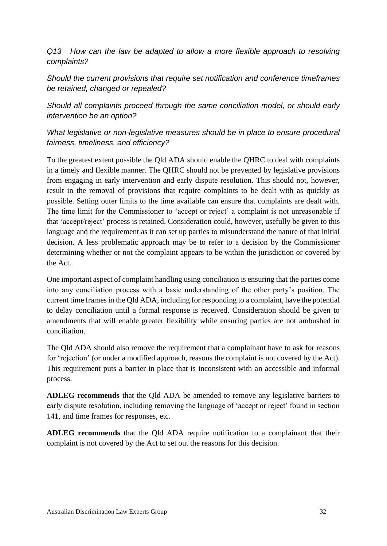*Q13 How can the law be adapted to allow a more flexible approach to resolving complaints?* 

*Should the current provisions that require set notification and conference timeframes be retained, changed or repealed?* 

*Should all complaints proceed through the same conciliation model, or should early intervention be an option?*

### *What legislative or non-legislative measures should be in place to ensure procedural fairness, timeliness, and efficiency?*

To the greatest extent possible the Qld ADA should enable the QHRC to deal with complaints in a timely and flexible manner. The QHRC should not be prevented by legislative provisions from engaging in early intervention and early dispute resolution. This should not, however, result in the removal of provisions that require complaints to be dealt with as quickly as possible. Setting outer limits to the time available can ensure that complaints are dealt with. The time limit for the Commissioner to 'accept or reject' a complaint is not unreasonable if that 'accept/reject' process is retained. Consideration could, however, usefully be given to this language and the requirement as it can set up parties to misunderstand the nature of that initial decision. A less problematic approach may be to refer to a decision by the Commissioner determining whether or not the complaint appears to be within the jurisdiction or covered by the Act.

One important aspect of complaint handling using conciliation is ensuring that the parties come into any conciliation process with a basic understanding of the other party's position. The current time frames in the Qld ADA, including for responding to a complaint, have the potential to delay conciliation until a formal response is received. Consideration should be given to amendments that will enable greater flexibility while ensuring parties are not ambushed in conciliation.

The Qld ADA should also remove the requirement that a complainant have to ask for reasons for 'rejection' (or under a modified approach, reasons the complaint is not covered by the Act). This requirement puts a barrier in place that is inconsistent with an accessible and informal process.

**ADLEG recommends** that the Qld ADA be amended to remove any legislative barriers to early dispute resolution, including removing the language of 'accept or reject' found in section 141, and time frames for responses, etc.

**ADLEG recommends** that the Qld ADA require notification to a complainant that their complaint is not covered by the Act to set out the reasons for this decision.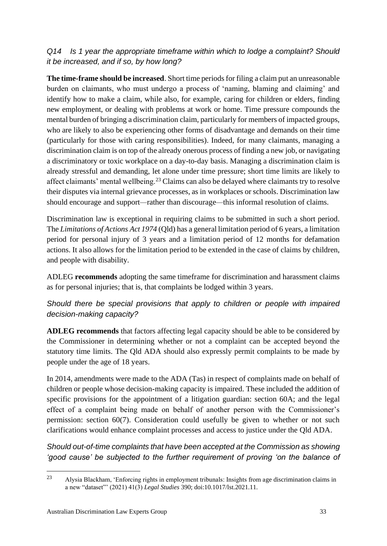### *Q14 Is 1 year the appropriate timeframe within which to lodge a complaint? Should it be increased, and if so, by how long?*

**The time-frame should be increased**. Short time periods for filing a claim put an unreasonable burden on claimants, who must undergo a process of 'naming, blaming and claiming' and identify how to make a claim, while also, for example, caring for children or elders, finding new employment, or dealing with problems at work or home. Time pressure compounds the mental burden of bringing a discrimination claim, particularly for members of impacted groups, who are likely to also be experiencing other forms of disadvantage and demands on their time (particularly for those with caring responsibilities). Indeed, for many claimants, managing a discrimination claim is on top of the already onerous process of finding a new job, or navigating a discriminatory or toxic workplace on a day-to-day basis. Managing a discrimination claim is already stressful and demanding, let alone under time pressure; short time limits are likely to affect claimants' mental wellbeing.<sup>23</sup> Claims can also be delayed where claimants try to resolve their disputes via internal grievance processes, as in workplaces or schools. Discrimination law should encourage and support*—*rather than discourage*—*this informal resolution of claims.

Discrimination law is exceptional in requiring claims to be submitted in such a short period. The *Limitations of Actions Act 1974* (Qld) has a general limitation period of 6 years, a limitation period for personal injury of 3 years and a limitation period of 12 months for defamation actions. It also allows for the limitation period to be extended in the case of claims by children, and people with disability.

ADLEG **recommends** adopting the same timeframe for discrimination and harassment claims as for personal injuries; that is, that complaints be lodged within 3 years.

### *Should there be special provisions that apply to children or people with impaired decision-making capacity?*

**ADLEG recommends** that factors affecting legal capacity should be able to be considered by the Commissioner in determining whether or not a complaint can be accepted beyond the statutory time limits. The Qld ADA should also expressly permit complaints to be made by people under the age of 18 years.

In 2014, amendments were made to the ADA (Tas) in respect of complaints made on behalf of children or people whose decision-making capacity is impaired. These included the addition of specific provisions for the appointment of a litigation guardian: section 60A; and the legal effect of a complaint being made on behalf of another person with the Commissioner's permission: section 60(7). Consideration could usefully be given to whether or not such clarifications would enhance complaint processes and access to justice under the Qld ADA.

*Should out-of-time complaints that have been accepted at the Commission as showing 'good cause' be subjected to the further requirement of proving 'on the balance of* 

<sup>23</sup> Alysia Blackham, 'Enforcing rights in employment tribunals: Insights from age discrimination claims in a new "dataset"' (2021) 41(3) *Legal Studies* 390; doi:10.1017/lst.2021.11.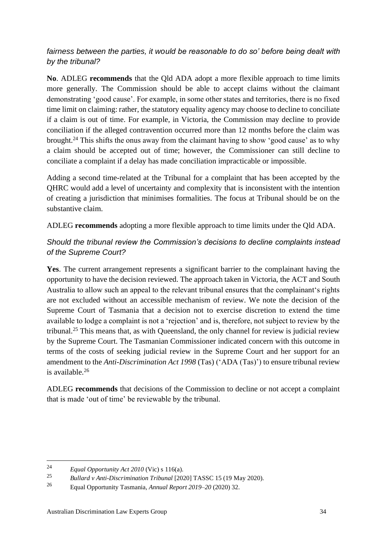#### *fairness between the parties, it would be reasonable to do so' before being dealt with by the tribunal?*

**No**. ADLEG **recommends** that the Qld ADA adopt a more flexible approach to time limits more generally. The Commission should be able to accept claims without the claimant demonstrating 'good cause'. For example, in some other states and territories, there is no fixed time limit on claiming: rather, the statutory equality agency may choose to decline to conciliate if a claim is out of time. For example, in Victoria, the Commission may decline to provide conciliation if the alleged contravention occurred more than 12 months before the claim was brought.<sup>24</sup> This shifts the onus away from the claimant having to show 'good cause' as to why a claim should be accepted out of time; however, the Commissioner can still decline to conciliate a complaint if a delay has made conciliation impracticable or impossible.

Adding a second time-related at the Tribunal for a complaint that has been accepted by the QHRC would add a level of uncertainty and complexity that is inconsistent with the intention of creating a jurisdiction that minimises formalities. The focus at Tribunal should be on the substantive claim.

ADLEG **recommends** adopting a more flexible approach to time limits under the Qld ADA.

#### *Should the tribunal review the Commission's decisions to decline complaints instead of the Supreme Court?*

**Yes**. The current arrangement represents a significant barrier to the complainant having the opportunity to have the decision reviewed. The approach taken in Victoria, the ACT and South Australia to allow such an appeal to the relevant tribunal ensures that the complainant's rights are not excluded without an accessible mechanism of review. We note the decision of the Supreme Court of Tasmania that a decision not to exercise discretion to extend the time available to lodge a complaint is not a 'rejection' and is, therefore, not subject to review by the tribunal.<sup>25</sup> This means that, as with Queensland, the only channel for review is judicial review by the Supreme Court. The Tasmanian Commissioner indicated concern with this outcome in terms of the costs of seeking judicial review in the Supreme Court and her support for an amendment to the *Anti-Discrimination Act 1998* (Tas) ('ADA (Tas)') to ensure tribunal review is available.<sup>26</sup>

ADLEG **recommends** that decisions of the Commission to decline or not accept a complaint that is made 'out of time' be reviewable by the tribunal.

<sup>24</sup> *Equal Opportunity Act 2010* (Vic) s 116(a).

<sup>25</sup> *Bullard v Anti-Discrimination Tribunal* [2020] TASSC 15 (19 May 2020).

<sup>26</sup> Equal Opportunity Tasmania, *Annual Report 2019–20* (2020) 32.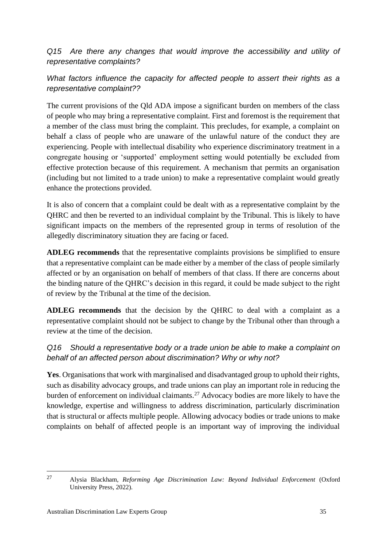*Q15 Are there any changes that would improve the accessibility and utility of representative complaints?*

What factors influence the capacity for affected people to assert their rights as a *representative complaint??*

The current provisions of the Qld ADA impose a significant burden on members of the class of people who may bring a representative complaint. First and foremost is the requirement that a member of the class must bring the complaint. This precludes, for example, a complaint on behalf a class of people who are unaware of the unlawful nature of the conduct they are experiencing. People with intellectual disability who experience discriminatory treatment in a congregate housing or 'supported' employment setting would potentially be excluded from effective protection because of this requirement. A mechanism that permits an organisation (including but not limited to a trade union) to make a representative complaint would greatly enhance the protections provided.

It is also of concern that a complaint could be dealt with as a representative complaint by the QHRC and then be reverted to an individual complaint by the Tribunal. This is likely to have significant impacts on the members of the represented group in terms of resolution of the allegedly discriminatory situation they are facing or faced.

**ADLEG recommends** that the representative complaints provisions be simplified to ensure that a representative complaint can be made either by a member of the class of people similarly affected or by an organisation on behalf of members of that class. If there are concerns about the binding nature of the QHRC's decision in this regard, it could be made subject to the right of review by the Tribunal at the time of the decision.

**ADLEG recommends** that the decision by the QHRC to deal with a complaint as a representative complaint should not be subject to change by the Tribunal other than through a review at the time of the decision.

### *Q16 Should a representative body or a trade union be able to make a complaint on behalf of an affected person about discrimination? Why or why not?*

**Yes**. Organisations that work with marginalised and disadvantaged group to uphold their rights, such as disability advocacy groups, and trade unions can play an important role in reducing the burden of enforcement on individual claimants.<sup>27</sup> Advocacy bodies are more likely to have the knowledge, expertise and willingness to address discrimination, particularly discrimination that is structural or affects multiple people. Allowing advocacy bodies or trade unions to make complaints on behalf of affected people is an important way of improving the individual

<sup>27</sup> Alysia Blackham, *Reforming Age Discrimination Law: Beyond Individual Enforcement* (Oxford University Press, 2022).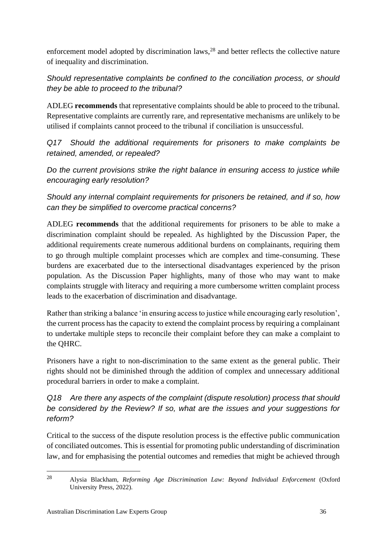enforcement model adopted by discrimination laws,<sup>28</sup> and better reflects the collective nature of inequality and discrimination.

*Should representative complaints be confined to the conciliation process, or should they be able to proceed to the tribunal?*

ADLEG **recommends** that representative complaints should be able to proceed to the tribunal. Representative complaints are currently rare, and representative mechanisms are unlikely to be utilised if complaints cannot proceed to the tribunal if conciliation is unsuccessful.

*Q17 Should the additional requirements for prisoners to make complaints be retained, amended, or repealed?* 

*Do the current provisions strike the right balance in ensuring access to justice while encouraging early resolution?* 

*Should any internal complaint requirements for prisoners be retained, and if so, how can they be simplified to overcome practical concerns?*

ADLEG **recommends** that the additional requirements for prisoners to be able to make a discrimination complaint should be repealed. As highlighted by the Discussion Paper, the additional requirements create numerous additional burdens on complainants, requiring them to go through multiple complaint processes which are complex and time-consuming. These burdens are exacerbated due to the intersectional disadvantages experienced by the prison population. As the Discussion Paper highlights, many of those who may want to make complaints struggle with literacy and requiring a more cumbersome written complaint process leads to the exacerbation of discrimination and disadvantage.

Rather than striking a balance 'in ensuring access to justice while encouraging early resolution', the current process has the capacity to extend the complaint process by requiring a complainant to undertake multiple steps to reconcile their complaint before they can make a complaint to the QHRC.

Prisoners have a right to non-discrimination to the same extent as the general public. Their rights should not be diminished through the addition of complex and unnecessary additional procedural barriers in order to make a complaint.

*Q18 Are there any aspects of the complaint (dispute resolution) process that should be considered by the Review? If so, what are the issues and your suggestions for reform?*

Critical to the success of the dispute resolution process is the effective public communication of conciliated outcomes. This is essential for promoting public understanding of discrimination law, and for emphasising the potential outcomes and remedies that might be achieved through

<sup>28</sup> Alysia Blackham, *Reforming Age Discrimination Law: Beyond Individual Enforcement* (Oxford University Press, 2022).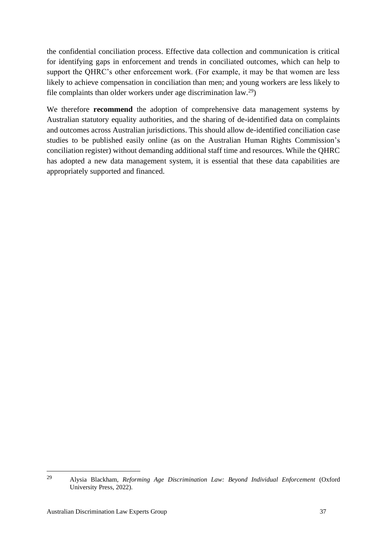the confidential conciliation process. Effective data collection and communication is critical for identifying gaps in enforcement and trends in conciliated outcomes, which can help to support the QHRC's other enforcement work. (For example, it may be that women are less likely to achieve compensation in conciliation than men; and young workers are less likely to file complaints than older workers under age discrimination  $law.^{29}$ .

We therefore **recommend** the adoption of comprehensive data management systems by Australian statutory equality authorities, and the sharing of de-identified data on complaints and outcomes across Australian jurisdictions. This should allow de-identified conciliation case studies to be published easily online (as on the Australian Human Rights Commission's conciliation register) without demanding additional staff time and resources. While the QHRC has adopted a new data management system, it is essential that these data capabilities are appropriately supported and financed.

<sup>29</sup> Alysia Blackham, *Reforming Age Discrimination Law: Beyond Individual Enforcement* (Oxford University Press, 2022).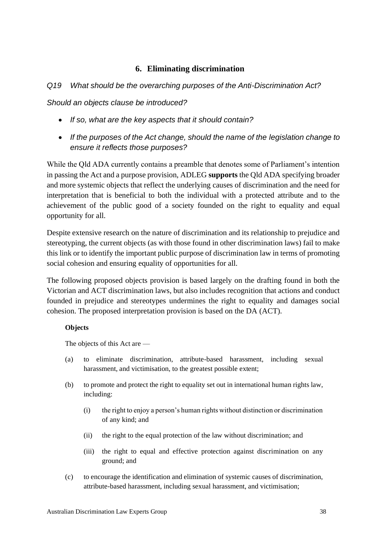#### **6. Eliminating discrimination**

#### <span id="page-38-0"></span>*Q19 What should be the overarching purposes of the Anti-Discrimination Act?*

*Should an objects clause be introduced?*

- *If so, what are the key aspects that it should contain?*
- *If the purposes of the Act change, should the name of the legislation change to ensure it reflects those purposes?*

While the Qld ADA currently contains a preamble that denotes some of Parliament's intention in passing the Act and a purpose provision, ADLEG **supports** the Qld ADA specifying broader and more systemic objects that reflect the underlying causes of discrimination and the need for interpretation that is beneficial to both the individual with a protected attribute and to the achievement of the public good of a society founded on the right to equality and equal opportunity for all.

Despite extensive research on the nature of discrimination and its relationship to prejudice and stereotyping, the current objects (as with those found in other discrimination laws) fail to make this link or to identify the important public purpose of discrimination law in terms of promoting social cohesion and ensuring equality of opportunities for all.

The following proposed objects provision is based largely on the drafting found in both the Victorian and ACT discrimination laws, but also includes recognition that actions and conduct founded in prejudice and stereotypes undermines the right to equality and damages social cohesion. The proposed interpretation provision is based on the DA (ACT).

#### **Objects**

The objects of this Act are —

- (a) to eliminate discrimination, attribute-based harassment, including sexual harassment, and victimisation, to the greatest possible extent;
- (b) to promote and protect the right to equality set out in international human rights law, including:
	- (i) the right to enjoy a person's human rights without distinction or discrimination of any kind; and
	- (ii) the right to the equal protection of the law without discrimination; and
	- (iii) the right to equal and effective protection against discrimination on any ground; and
- (c) to encourage the identification and elimination of systemic causes of discrimination, attribute-based harassment, including sexual harassment, and victimisation;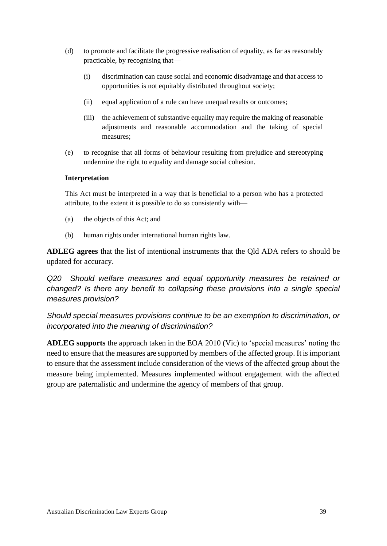- (d) to promote and facilitate the progressive realisation of equality, as far as reasonably practicable, by recognising that—
	- (i) discrimination can cause social and economic disadvantage and that access to opportunities is not equitably distributed throughout society;
	- (ii) equal application of a rule can have unequal results or outcomes;
	- (iii) the achievement of substantive equality may require the making of reasonable adjustments and reasonable accommodation and the taking of special measures;
- (e) to recognise that all forms of behaviour resulting from prejudice and stereotyping undermine the right to equality and damage social cohesion.

#### **Interpretation**

This Act must be interpreted in a way that is beneficial to a person who has a protected attribute, to the extent it is possible to do so consistently with—

- (a) the objects of this Act; and
- (b) human rights under international human rights law.

**ADLEG agrees** that the list of intentional instruments that the Qld ADA refers to should be updated for accuracy.

*Q20 Should welfare measures and equal opportunity measures be retained or changed? Is there any benefit to collapsing these provisions into a single special measures provision?* 

*Should special measures provisions continue to be an exemption to discrimination, or incorporated into the meaning of discrimination?*

**ADLEG supports** the approach taken in the EOA 2010 (Vic) to 'special measures' noting the need to ensure that the measures are supported by members of the affected group. It is important to ensure that the assessment include consideration of the views of the affected group about the measure being implemented. Measures implemented without engagement with the affected group are paternalistic and undermine the agency of members of that group.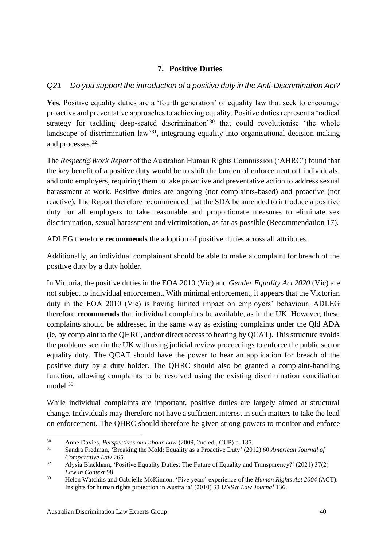### **7. Positive Duties**

#### <span id="page-40-0"></span>*Q21 Do you support the introduction of a positive duty in the Anti-Discrimination Act?*

Yes. Positive equality duties are a 'fourth generation' of equality law that seek to encourage proactive and preventative approaches to achieving equality. Positive duties represent a 'radical strategy for tackling deep-seated discrimination<sup>30</sup> that could revolutionise 'the whole landscape of discrimination law<sup>31</sup>, integrating equality into organisational decision-making and processes.<sup>32</sup>

The *Respect@Work Report* of the Australian Human Rights Commission ('AHRC') found that the key benefit of a positive duty would be to shift the burden of enforcement off individuals, and onto employers, requiring them to take proactive and preventative action to address sexual harassment at work. Positive duties are ongoing (not complaints-based) and proactive (not reactive). The Report therefore recommended that the SDA be amended to introduce a positive duty for all employers to take reasonable and proportionate measures to eliminate sex discrimination, sexual harassment and victimisation, as far as possible (Recommendation 17).

ADLEG therefore **recommends** the adoption of positive duties across all attributes.

Additionally, an individual complainant should be able to make a complaint for breach of the positive duty by a duty holder.

In Victoria, the positive duties in the EOA 2010 (Vic) and *Gender Equality Act 2020* (Vic) are not subject to individual enforcement. With minimal enforcement, it appears that the Victorian duty in the EOA 2010 (Vic) is having limited impact on employers' behaviour. ADLEG therefore **recommends** that individual complaints be available, as in the UK. However, these complaints should be addressed in the same way as existing complaints under the Qld ADA (ie, by complaint to the QHRC, and/or direct access to hearing by QCAT). This structure avoids the problems seen in the UK with using judicial review proceedings to enforce the public sector equality duty. The QCAT should have the power to hear an application for breach of the positive duty by a duty holder. The QHRC should also be granted a complaint-handling function, allowing complaints to be resolved using the existing discrimination conciliation model.<sup>33</sup>

While individual complaints are important, positive duties are largely aimed at structural change. Individuals may therefore not have a sufficient interest in such matters to take the lead on enforcement. The QHRC should therefore be given strong powers to monitor and enforce

<sup>30</sup> Anne Davies, *Perspectives on Labour Law* (2009, 2nd ed., CUP) p. 135.

<sup>31</sup> Sandra Fredman, 'Breaking the Mold: Equality as a Proactive Duty' (2012) 60 *American Journal of Comparative Law* 265.

<sup>32</sup> Alysia Blackham, 'Positive Equality Duties: The Future of Equality and Transparency?' (2021) 37(2) *Law in Context* 98

<sup>33</sup> Helen Watchirs and Gabrielle McKinnon, 'Five years' experience of the *Human Rights Act 2004* (ACT): Insights for human rights protection in Australia' (2010) 33 *UNSW Law Journal* 136.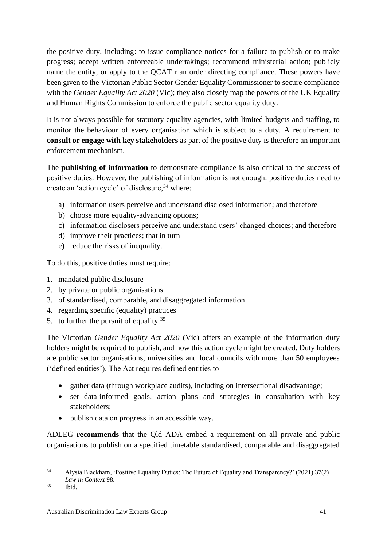the positive duty, including: to issue compliance notices for a failure to publish or to make progress; accept written enforceable undertakings; recommend ministerial action; publicly name the entity; or apply to the QCAT r an order directing compliance. These powers have been given to the Victorian Public Sector Gender Equality Commissioner to secure compliance with the *Gender Equality Act 2020* (Vic); they also closely map the powers of the UK Equality and Human Rights Commission to enforce the public sector equality duty.

It is not always possible for statutory equality agencies, with limited budgets and staffing, to monitor the behaviour of every organisation which is subject to a duty. A requirement to **consult or engage with key stakeholders** as part of the positive duty is therefore an important enforcement mechanism.

The **publishing of information** to demonstrate compliance is also critical to the success of positive duties. However, the publishing of information is not enough: positive duties need to create an 'action cycle' of disclosure.<sup>34</sup> where:

- a) information users perceive and understand disclosed information; and therefore
- b) choose more equality-advancing options;
- c) information disclosers perceive and understand users' changed choices; and therefore
- d) improve their practices; that in turn
- e) reduce the risks of inequality.

To do this, positive duties must require:

- 1. mandated public disclosure
- 2. by private or public organisations
- 3. of standardised, comparable, and disaggregated information
- 4. regarding specific (equality) practices
- 5. to further the pursuit of equality.<sup>35</sup>

The Victorian *Gender Equality Act 2020* (Vic) offers an example of the information duty holders might be required to publish, and how this action cycle might be created. Duty holders are public sector organisations, universities and local councils with more than 50 employees ('defined entities'). The Act requires defined entities to

- gather data (through workplace audits), including on intersectional disadvantage;
- set data-informed goals, action plans and strategies in consultation with key stakeholders;
- publish data on progress in an accessible way.

ADLEG **recommends** that the Qld ADA embed a requirement on all private and public organisations to publish on a specified timetable standardised, comparable and disaggregated

<sup>34</sup> Alysia Blackham, 'Positive Equality Duties: The Future of Equality and Transparency?' (2021) 37(2) *Law in Context* 98.

<sup>35</sup> Ibid.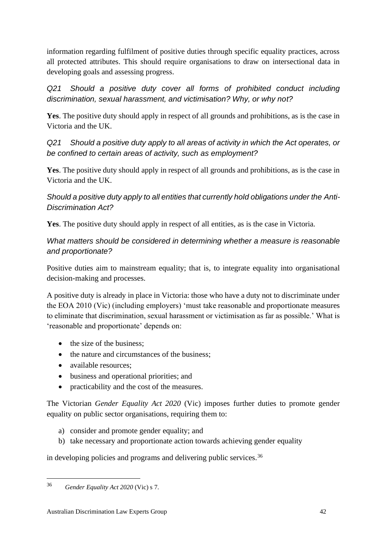information regarding fulfilment of positive duties through specific equality practices, across all protected attributes. This should require organisations to draw on intersectional data in developing goals and assessing progress.

*Q21 Should a positive duty cover all forms of prohibited conduct including discrimination, sexual harassment, and victimisation? Why, or why not?*

**Yes**. The positive duty should apply in respect of all grounds and prohibitions, as is the case in Victoria and the UK.

*Q21 Should a positive duty apply to all areas of activity in which the Act operates, or be confined to certain areas of activity, such as employment?*

**Yes**. The positive duty should apply in respect of all grounds and prohibitions, as is the case in Victoria and the UK.

*Should a positive duty apply to all entities that currently hold obligations under the Anti-Discrimination Act?*

**Yes**. The positive duty should apply in respect of all entities, as is the case in Victoria.

#### *What matters should be considered in determining whether a measure is reasonable and proportionate?*

Positive duties aim to mainstream equality; that is, to integrate equality into organisational decision-making and processes.

A positive duty is already in place in Victoria: those who have a duty not to discriminate under the EOA 2010 (Vic) (including employers) 'must take reasonable and proportionate measures to eliminate that discrimination, sexual harassment or victimisation as far as possible.' What is 'reasonable and proportionate' depends on:

- the size of the business;
- the nature and circumstances of the business:
- available resources;
- business and operational priorities; and
- practicability and the cost of the measures.

The Victorian *Gender Equality Act 2020* (Vic) imposes further duties to promote gender equality on public sector organisations, requiring them to:

- a) consider and promote gender equality; and
- b) take necessary and proportionate action towards achieving gender equality

in developing policies and programs and delivering public services.<sup>36</sup>

<sup>36</sup> *Gender Equality Act 2020* (Vic) s 7.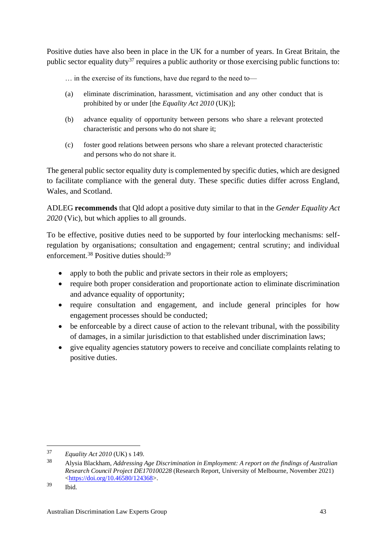Positive duties have also been in place in the UK for a number of years. In Great Britain, the public sector equality duty<sup>37</sup> requires a public authority or those exercising public functions to:

… in the exercise of its functions, have due regard to the need to—

- (a) eliminate discrimination, harassment, victimisation and any other conduct that is prohibited by or under [the *Equality Act 2010* (UK)];
- (b) advance equality of opportunity between persons who share a relevant protected characteristic and persons who do not share it;
- (c) foster good relations between persons who share a relevant protected characteristic and persons who do not share it.

The general public sector equality duty is complemented by specific duties, which are designed to facilitate compliance with the general duty. These specific duties differ across England, Wales, and Scotland.

ADLEG **recommends** that Qld adopt a positive duty similar to that in the *Gender Equality Act 2020* (Vic), but which applies to all grounds.

To be effective, positive duties need to be supported by four interlocking mechanisms: selfregulation by organisations; consultation and engagement; central scrutiny; and individual enforcement.<sup>38</sup> Positive duties should:<sup>39</sup>

- apply to both the public and private sectors in their role as employers;
- require both proper consideration and proportionate action to eliminate discrimination and advance equality of opportunity;
- require consultation and engagement, and include general principles for how engagement processes should be conducted;
- be enforceable by a direct cause of action to the relevant tribunal, with the possibility of damages, in a similar jurisdiction to that established under discrimination laws;
- give equality agencies statutory powers to receive and conciliate complaints relating to positive duties.

<sup>37</sup> *Equality Act 2010* (UK) s 149.

<sup>38</sup> Alysia Blackham, *Addressing Age Discrimination in Employment: A report on the findings of Australian Research Council Project DE170100228* (Research Report, University of Melbourne, November 2021) [<https://doi.org/10.46580/124368>](https://doi.org/10.46580/124368).

 $39$  Ibid.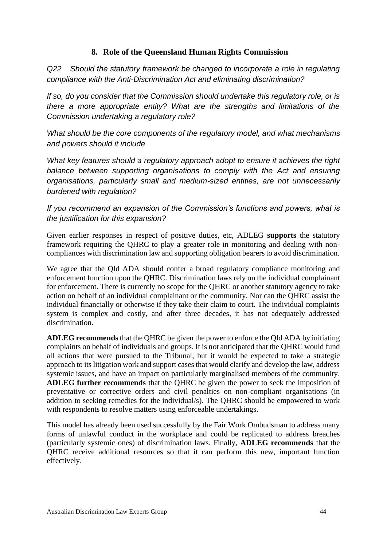### **8. Role of the Queensland Human Rights Commission**

<span id="page-44-0"></span>*Q22 Should the statutory framework be changed to incorporate a role in regulating compliance with the Anti-Discrimination Act and eliminating discrimination?*

*If so, do you consider that the Commission should undertake this regulatory role, or is there a more appropriate entity? What are the strengths and limitations of the Commission undertaking a regulatory role?*

*What should be the core components of the regulatory model, and what mechanisms and powers should it include*

*What key features should a regulatory approach adopt to ensure it achieves the right*  balance between supporting organisations to comply with the Act and ensuring *organisations, particularly small and medium-sized entities, are not unnecessarily burdened with regulation?* 

*If you recommend an expansion of the Commission's functions and powers, what is the justification for this expansion?*

Given earlier responses in respect of positive duties, etc, ADLEG **supports** the statutory framework requiring the QHRC to play a greater role in monitoring and dealing with noncompliances with discrimination law and supporting obligation bearers to avoid discrimination.

We agree that the Qld ADA should confer a broad regulatory compliance monitoring and enforcement function upon the QHRC. Discrimination laws rely on the individual complainant for enforcement. There is currently no scope for the QHRC or another statutory agency to take action on behalf of an individual complainant or the community. Nor can the QHRC assist the individual financially or otherwise if they take their claim to court. The individual complaints system is complex and costly, and after three decades, it has not adequately addressed discrimination.

**ADLEG recommends** that the QHRC be given the power to enforce the Qld ADA by initiating complaints on behalf of individuals and groups. It is not anticipated that the QHRC would fund all actions that were pursued to the Tribunal, but it would be expected to take a strategic approach to its litigation work and support cases that would clarify and develop the law, address systemic issues, and have an impact on particularly marginalised members of the community. **ADLEG further recommends** that the QHRC be given the power to seek the imposition of preventative or corrective orders and civil penalties on non-compliant organisations (in addition to seeking remedies for the individual/s). The QHRC should be empowered to work with respondents to resolve matters using enforceable undertakings.

This model has already been used successfully by the Fair Work Ombudsman to address many forms of unlawful conduct in the workplace and could be replicated to address breaches (particularly systemic ones) of discrimination laws. Finally, **ADLEG recommends** that the QHRC receive additional resources so that it can perform this new, important function effectively.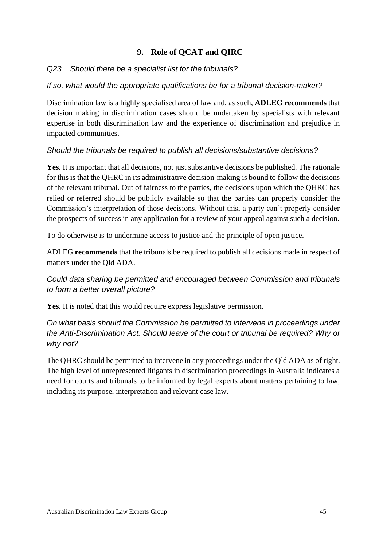### <span id="page-45-0"></span>**9. Role of QCAT and QIRC**

#### *Q23 Should there be a specialist list for the tribunals?*

#### *If so, what would the appropriate qualifications be for a tribunal decision-maker?*

Discrimination law is a highly specialised area of law and, as such, **ADLEG recommends** that decision making in discrimination cases should be undertaken by specialists with relevant expertise in both discrimination law and the experience of discrimination and prejudice in impacted communities.

#### *Should the tribunals be required to publish all decisions/substantive decisions?*

**Yes.** It is important that all decisions, not just substantive decisions be published. The rationale for this is that the QHRC in its administrative decision-making is bound to follow the decisions of the relevant tribunal. Out of fairness to the parties, the decisions upon which the QHRC has relied or referred should be publicly available so that the parties can properly consider the Commission's interpretation of those decisions. Without this, a party can't properly consider the prospects of success in any application for a review of your appeal against such a decision.

To do otherwise is to undermine access to justice and the principle of open justice.

ADLEG **recommends** that the tribunals be required to publish all decisions made in respect of matters under the Qld ADA.

### *Could data sharing be permitted and encouraged between Commission and tribunals to form a better overall picture?*

**Yes.** It is noted that this would require express legislative permission.

### *On what basis should the Commission be permitted to intervene in proceedings under the Anti-Discrimination Act. Should leave of the court or tribunal be required? Why or why not?*

The QHRC should be permitted to intervene in any proceedings under the Qld ADA as of right. The high level of unrepresented litigants in discrimination proceedings in Australia indicates a need for courts and tribunals to be informed by legal experts about matters pertaining to law, including its purpose, interpretation and relevant case law.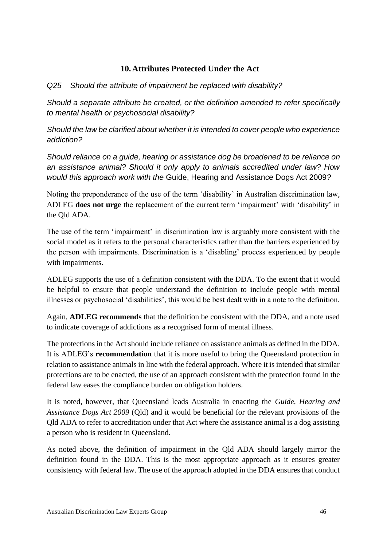#### **10.Attributes Protected Under the Act**

#### <span id="page-46-0"></span>*Q25 Should the attribute of impairment be replaced with disability?*

*Should a separate attribute be created, or the definition amended to refer specifically to mental health or psychosocial disability?* 

*Should the law be clarified about whether it is intended to cover people who experience addiction?*

*Should reliance on a guide, hearing or assistance dog be broadened to be reliance on an assistance animal? Should it only apply to animals accredited under law? How would this approach work with the* Guide, Hearing and Assistance Dogs Act 2009*?*

Noting the preponderance of the use of the term 'disability' in Australian discrimination law, ADLEG **does not urge** the replacement of the current term 'impairment' with 'disability' in the Qld ADA.

The use of the term 'impairment' in discrimination law is arguably more consistent with the social model as it refers to the personal characteristics rather than the barriers experienced by the person with impairments. Discrimination is a 'disabling' process experienced by people with impairments.

ADLEG supports the use of a definition consistent with the DDA. To the extent that it would be helpful to ensure that people understand the definition to include people with mental illnesses or psychosocial 'disabilities', this would be best dealt with in a note to the definition.

Again, **ADLEG recommends** that the definition be consistent with the DDA, and a note used to indicate coverage of addictions as a recognised form of mental illness.

The protections in the Act should include reliance on assistance animals as defined in the DDA. It is ADLEG's **recommendation** that it is more useful to bring the Queensland protection in relation to assistance animals in line with the federal approach. Where it is intended that similar protections are to be enacted, the use of an approach consistent with the protection found in the federal law eases the compliance burden on obligation holders.

It is noted, however, that Queensland leads Australia in enacting the *Guide, Hearing and Assistance Dogs Act 2009* (Qld) and it would be beneficial for the relevant provisions of the Qld ADA to refer to accreditation under that Act where the assistance animal is a dog assisting a person who is resident in Queensland.

As noted above, the definition of impairment in the Qld ADA should largely mirror the definition found in the DDA. This is the most appropriate approach as it ensures greater consistency with federal law. The use of the approach adopted in the DDA ensures that conduct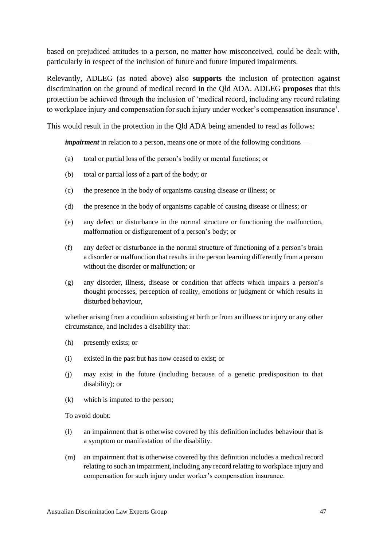based on prejudiced attitudes to a person, no matter how misconceived, could be dealt with, particularly in respect of the inclusion of future and future imputed impairments.

Relevantly, ADLEG (as noted above) also **supports** the inclusion of protection against discrimination on the ground of medical record in the Qld ADA. ADLEG **proposes** that this protection be achieved through the inclusion of 'medical record, including any record relating to workplace injury and compensation for such injury under worker's compensation insurance'.

This would result in the protection in the Qld ADA being amended to read as follows:

*impairment* in relation to a person, means one or more of the following conditions —

- (a) total or partial loss of the person's bodily or mental functions; or
- (b) total or partial loss of a part of the body; or
- (c) the presence in the body of organisms causing disease or illness; or
- (d) the presence in the body of organisms capable of causing disease or illness; or
- (e) any defect or disturbance in the normal structure or functioning the malfunction, malformation or disfigurement of a person's body; or
- (f) any defect or disturbance in the normal structure of functioning of a person's brain a disorder or malfunction that results in the person learning differently from a person without the disorder or malfunction; or
- (g) any disorder, illness, disease or condition that affects which impairs a person's thought processes, perception of reality, emotions or judgment or which results in disturbed behaviour,

whether arising from a condition subsisting at birth or from an illness or injury or any other circumstance, and includes a disability that:

- (h) presently exists; or
- (i) existed in the past but has now ceased to exist; or
- (j) may exist in the future (including because of a genetic predisposition to that disability); or
- (k) which is imputed to the person;

To avoid doubt:

- (l) an impairment that is otherwise covered by this definition includes behaviour that is a symptom or manifestation of the disability.
- (m) an impairment that is otherwise covered by this definition includes a medical record relating to such an impairment, including any record relating to workplace injury and compensation for such injury under worker's compensation insurance.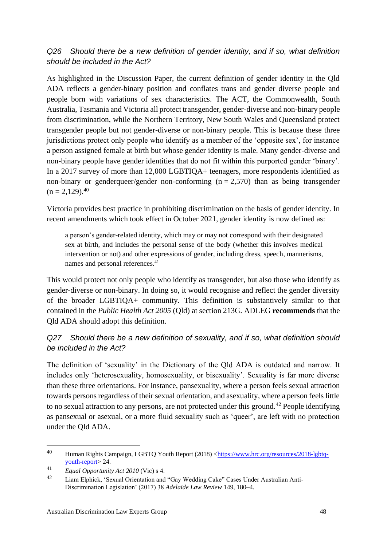### *Q26 Should there be a new definition of gender identity, and if so, what definition should be included in the Act?*

As highlighted in the Discussion Paper, the current definition of gender identity in the Qld ADA reflects a gender-binary position and conflates trans and gender diverse people and people born with variations of sex characteristics. The ACT, the Commonwealth, South Australia, Tasmania and Victoria all protect transgender, gender-diverse and non-binary people from discrimination, while the Northern Territory, New South Wales and Queensland protect transgender people but not gender-diverse or non-binary people. This is because these three jurisdictions protect only people who identify as a member of the 'opposite sex', for instance a person assigned female at birth but whose gender identity is male. Many gender-diverse and non-binary people have gender identities that do not fit within this purported gender 'binary'. In a 2017 survey of more than 12,000 LGBTIQA+ teenagers, more respondents identified as non-binary or genderqueer/gender non-conforming  $(n = 2.570)$  than as being transgender  $(n = 2,129).^{40}$ 

Victoria provides best practice in prohibiting discrimination on the basis of gender identity. In recent amendments which took effect in October 2021, gender identity is now defined as:

a person's gender-related identity, which may or may not correspond with their designated sex at birth, and includes the personal sense of the body (whether this involves medical intervention or not) and other expressions of gender, including dress, speech, mannerisms, names and personal references.<sup>41</sup>

This would protect not only people who identify as transgender, but also those who identify as gender-diverse or non-binary. In doing so, it would recognise and reflect the gender diversity of the broader LGBTIQA+ community. This definition is substantively similar to that contained in the *Public Health Act 2005* (Qld) at section 213G. ADLEG **recommends** that the Qld ADA should adopt this definition.

### *Q27 Should there be a new definition of sexuality, and if so, what definition should be included in the Act?*

The definition of 'sexuality' in the Dictionary of the Qld ADA is outdated and narrow. It includes only 'heterosexuality, homosexuality, or bisexuality'. Sexuality is far more diverse than these three orientations. For instance, pansexuality, where a person feels sexual attraction towards persons regardless of their sexual orientation, and asexuality, where a person feels little to no sexual attraction to any persons, are not protected under this ground.<sup>42</sup> People identifying as pansexual or asexual, or a more fluid sexuality such as 'queer', are left with no protection under the Qld ADA.

<sup>40</sup> Human Rights Campaign, LGBTQ Youth Report (2018) [<https://www.hrc.org/resources/2018-lgbtq](https://www.hrc.org/resources/2018-lgbtq-youth-report)[youth-report>](https://www.hrc.org/resources/2018-lgbtq-youth-report) 24.

<sup>41</sup> *Equal Opportunity Act 2010* (Vic) s 4.

<sup>42</sup> Liam Elphick, 'Sexual Orientation and "Gay Wedding Cake" Cases Under Australian Anti-Discrimination Legislation' (2017) 38 *Adelaide Law Review* 149, 180–4.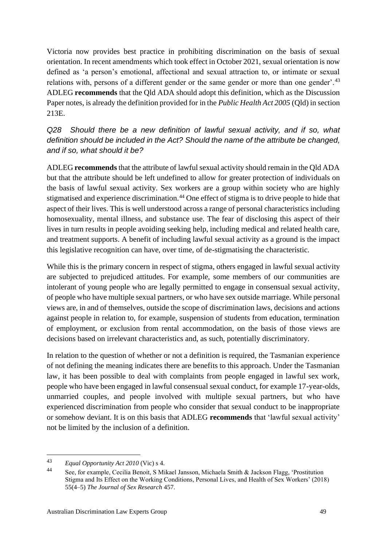Victoria now provides best practice in prohibiting discrimination on the basis of sexual orientation. In recent amendments which took effect in October 2021, sexual orientation is now defined as 'a person's emotional, affectional and sexual attraction to, or intimate or sexual relations with, persons of a different gender or the same gender or more than one gender'.<sup>43</sup> ADLEG **recommends** that the Qld ADA should adopt this definition, which as the Discussion Paper notes, is already the definition provided for in the *Public Health Act 2005* (Qld) in section 213E.

*Q28 Should there be a new definition of lawful sexual activity, and if so, what definition should be included in the Act? Should the name of the attribute be changed, and if so, what should it be?*

ADLEG **recommends** that the attribute of lawful sexual activity should remain in the Qld ADA but that the attribute should be left undefined to allow for greater protection of individuals on the basis of lawful sexual activity. Sex workers are a group within society who are highly stigmatised and experience discrimination.<sup>44</sup> One effect of stigma is to drive people to hide that aspect of their lives. This is well understood across a range of personal characteristics including homosexuality, mental illness, and substance use. The fear of disclosing this aspect of their lives in turn results in people avoiding seeking help, including medical and related health care, and treatment supports. A benefit of including lawful sexual activity as a ground is the impact this legislative recognition can have, over time, of de-stigmatising the characteristic.

While this is the primary concern in respect of stigma, others engaged in lawful sexual activity are subjected to prejudiced attitudes. For example, some members of our communities are intolerant of young people who are legally permitted to engage in consensual sexual activity, of people who have multiple sexual partners, or who have sex outside marriage. While personal views are, in and of themselves, outside the scope of discrimination laws, decisions and actions against people in relation to, for example, suspension of students from education, termination of employment, or exclusion from rental accommodation, on the basis of those views are decisions based on irrelevant characteristics and, as such, potentially discriminatory.

In relation to the question of whether or not a definition is required, the Tasmanian experience of not defining the meaning indicates there are benefits to this approach. Under the Tasmanian law, it has been possible to deal with complaints from people engaged in lawful sex work, people who have been engaged in lawful consensual sexual conduct, for example 17-year-olds, unmarried couples, and people involved with multiple sexual partners, but who have experienced discrimination from people who consider that sexual conduct to be inappropriate or somehow deviant. It is on this basis that ADLEG **recommends** that 'lawful sexual activity' not be limited by the inclusion of a definition.

<sup>43</sup> *Equal Opportunity Act 2010* (Vic) s 4.

<sup>44</sup> See, for example, Cecilia Benoit, S Mikael Jansson, Michaela Smith & Jackson Flagg, 'Prostitution Stigma and Its Effect on the Working Conditions, Personal Lives, and Health of Sex Workers' (2018) 55(4–5) *The Journal of Sex Research* 457.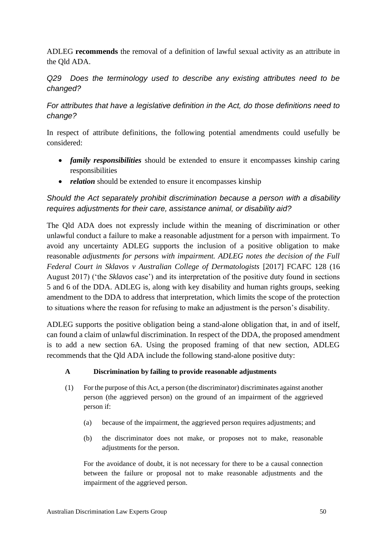ADLEG **recommends** the removal of a definition of lawful sexual activity as an attribute in the Qld ADA.

#### *Q29 Does the terminology used to describe any existing attributes need to be changed?*

#### *For attributes that have a legislative definition in the Act, do those definitions need to change?*

In respect of attribute definitions, the following potential amendments could usefully be considered:

- *family responsibilities* should be extended to ensure it encompasses kinship caring responsibilities
- *relation* should be extended to ensure it encompasses kinship

#### *Should the Act separately prohibit discrimination because a person with a disability requires adjustments for their care, assistance animal, or disability aid?*

The Qld ADA does not expressly include within the meaning of discrimination or other unlawful conduct a failure to make a reasonable adjustment for a person with impairment. To avoid any uncertainty ADLEG supports the inclusion of a positive obligation to make reasonable *adjustments for persons with impairment. ADLEG notes the decision of the Full Federal Court in Sklavos v Australian College of Dermatologists* [2017] FCAFC 128 (16 August 2017) ('the *Sklavos* case') and its interpretation of the positive duty found in sections 5 and 6 of the DDA. ADLEG is, along with key disability and human rights groups, seeking amendment to the DDA to address that interpretation, which limits the scope of the protection to situations where the reason for refusing to make an adjustment is the person's disability.

ADLEG supports the positive obligation being a stand-alone obligation that, in and of itself, can found a claim of unlawful discrimination. In respect of the DDA, the proposed amendment is to add a new section 6A. Using the proposed framing of that new section, ADLEG recommends that the Qld ADA include the following stand-alone positive duty:

#### **A Discrimination by failing to provide reasonable adjustments**

- (1) For the purpose of this Act, a person (the discriminator) discriminates against another person (the aggrieved person) on the ground of an impairment of the aggrieved person if:
	- (a) because of the impairment, the aggrieved person requires adjustments; and
	- (b) the discriminator does not make, or proposes not to make, reasonable adjustments for the person.

For the avoidance of doubt, it is not necessary for there to be a causal connection between the failure or proposal not to make reasonable adjustments and the impairment of the aggrieved person.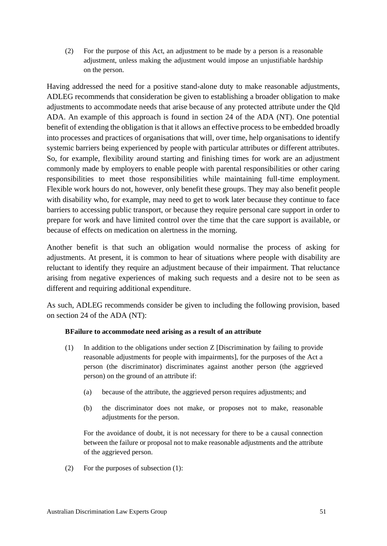(2) For the purpose of this Act, an adjustment to be made by a person is a reasonable adjustment, unless making the adjustment would impose an unjustifiable hardship on the person.

Having addressed the need for a positive stand-alone duty to make reasonable adjustments, ADLEG recommends that consideration be given to establishing a broader obligation to make adjustments to accommodate needs that arise because of any protected attribute under the Qld ADA. An example of this approach is found in section 24 of the ADA (NT). One potential benefit of extending the obligation is that it allows an effective process to be embedded broadly into processes and practices of organisations that will, over time, help organisations to identify systemic barriers being experienced by people with particular attributes or different attributes. So, for example, flexibility around starting and finishing times for work are an adjustment commonly made by employers to enable people with parental responsibilities or other caring responsibilities to meet those responsibilities while maintaining full-time employment. Flexible work hours do not, however, only benefit these groups. They may also benefit people with disability who, for example, may need to get to work later because they continue to face barriers to accessing public transport, or because they require personal care support in order to prepare for work and have limited control over the time that the care support is available, or because of effects on medication on alertness in the morning.

Another benefit is that such an obligation would normalise the process of asking for adjustments. At present, it is common to hear of situations where people with disability are reluctant to identify they require an adjustment because of their impairment. That reluctance arising from negative experiences of making such requests and a desire not to be seen as different and requiring additional expenditure.

As such, ADLEG recommends consider be given to including the following provision, based on section 24 of the ADA (NT):

#### **BFailure to accommodate need arising as a result of an attribute**

- (1) In addition to the obligations under section Z [Discrimination by failing to provide reasonable adjustments for people with impairments], for the purposes of the Act a person (the discriminator) discriminates against another person (the aggrieved person) on the ground of an attribute if:
	- (a) because of the attribute, the aggrieved person requires adjustments; and
	- (b) the discriminator does not make, or proposes not to make, reasonable adjustments for the person.

For the avoidance of doubt, it is not necessary for there to be a causal connection between the failure or proposal not to make reasonable adjustments and the attribute of the aggrieved person.

(2) For the purposes of subsection (1):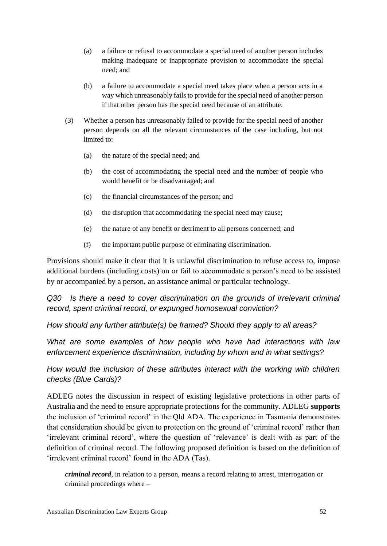- (a) a failure or refusal to accommodate a special need of another person includes making inadequate or inappropriate provision to accommodate the special need; and
- (b) a failure to accommodate a special need takes place when a person acts in a way which unreasonably fails to provide for the special need of another person if that other person has the special need because of an attribute.
- (3) Whether a person has unreasonably failed to provide for the special need of another person depends on all the relevant circumstances of the case including, but not limited to:
	- (a) the nature of the special need; and
	- (b) the cost of accommodating the special need and the number of people who would benefit or be disadvantaged; and
	- (c) the financial circumstances of the person; and
	- (d) the disruption that accommodating the special need may cause;
	- (e) the nature of any benefit or detriment to all persons concerned; and
	- (f) the important public purpose of eliminating discrimination.

Provisions should make it clear that it is unlawful discrimination to refuse access to, impose additional burdens (including costs) on or fail to accommodate a person's need to be assisted by or accompanied by a person, an assistance animal or particular technology.

*Q30 Is there a need to cover discrimination on the grounds of irrelevant criminal record, spent criminal record, or expunged homosexual conviction?*

*How should any further attribute(s) be framed? Should they apply to all areas?*

*What are some examples of how people who have had interactions with law enforcement experience discrimination, including by whom and in what settings?* 

*How would the inclusion of these attributes interact with the working with children checks (Blue Cards)?*

ADLEG notes the discussion in respect of existing legislative protections in other parts of Australia and the need to ensure appropriate protections for the community. ADLEG **supports**  the inclusion of 'criminal record' in the Qld ADA. The experience in Tasmania demonstrates that consideration should be given to protection on the ground of 'criminal record' rather than 'irrelevant criminal record', where the question of 'relevance' is dealt with as part of the definition of criminal record. The following proposed definition is based on the definition of 'irrelevant criminal record' found in the ADA (Tas).

*criminal record*, in relation to a person, means a record relating to arrest, interrogation or criminal proceedings where –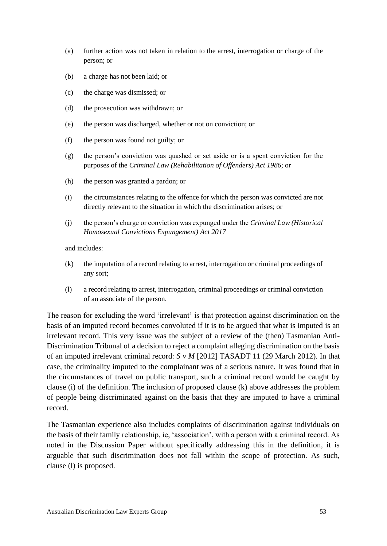- (a) further action was not taken in relation to the arrest, interrogation or charge of the person; or
- (b) a charge has not been laid; or
- (c) the charge was dismissed; or
- (d) the prosecution was withdrawn; or
- (e) the person was discharged, whether or not on conviction; or
- (f) the person was found not guilty; or
- (g) the person's conviction was quashed or set aside or is a spent conviction for the purposes of the *Criminal Law (Rehabilitation of Offenders) Act 1986*; or
- (h) the person was granted a pardon; or
- (i) the circumstances relating to the offence for which the person was convicted are not directly relevant to the situation in which the discrimination arises; or
- (j) the person's charge or conviction was expunged under the *Criminal Law (Historical Homosexual Convictions Expungement) Act 2017*

and includes:

- (k) the imputation of a record relating to arrest, interrogation or criminal proceedings of any sort;
- (l) a record relating to arrest, interrogation, criminal proceedings or criminal conviction of an associate of the person.

The reason for excluding the word 'irrelevant' is that protection against discrimination on the basis of an imputed record becomes convoluted if it is to be argued that what is imputed is an irrelevant record. This very issue was the subject of a review of the (then) Tasmanian Anti-Discrimination Tribunal of a decision to reject a complaint alleging discrimination on the basis of an imputed irrelevant criminal record: *S v M* [2012] TASADT 11 (29 March 2012). In that case, the criminality imputed to the complainant was of a serious nature. It was found that in the circumstances of travel on public transport, such a criminal record would be caught by clause (i) of the definition. The inclusion of proposed clause (k) above addresses the problem of people being discriminated against on the basis that they are imputed to have a criminal record.

The Tasmanian experience also includes complaints of discrimination against individuals on the basis of their family relationship, ie, 'association', with a person with a criminal record. As noted in the Discussion Paper without specifically addressing this in the definition, it is arguable that such discrimination does not fall within the scope of protection. As such, clause (l) is proposed.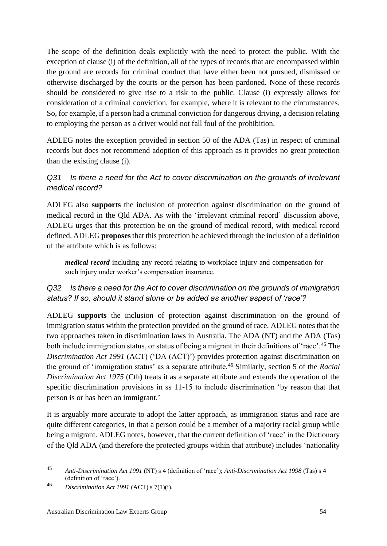The scope of the definition deals explicitly with the need to protect the public. With the exception of clause (i) of the definition, all of the types of records that are encompassed within the ground are records for criminal conduct that have either been not pursued, dismissed or otherwise discharged by the courts or the person has been pardoned. None of these records should be considered to give rise to a risk to the public. Clause (i) expressly allows for consideration of a criminal conviction, for example, where it is relevant to the circumstances. So, for example, if a person had a criminal conviction for dangerous driving, a decision relating to employing the person as a driver would not fall foul of the prohibition.

ADLEG notes the exception provided in section 50 of the ADA (Tas) in respect of criminal records but does not recommend adoption of this approach as it provides no great protection than the existing clause (i).

### *Q31 Is there a need for the Act to cover discrimination on the grounds of irrelevant medical record?*

ADLEG also **supports** the inclusion of protection against discrimination on the ground of medical record in the Qld ADA. As with the 'irrelevant criminal record' discussion above, ADLEG urges that this protection be on the ground of medical record, with medical record defined. ADLEG **proposes** that this protection be achieved through the inclusion of a definition of the attribute which is as follows:

*medical record* including any record relating to workplace injury and compensation for such injury under worker's compensation insurance.

### *Q32 Is there a need for the Act to cover discrimination on the grounds of immigration status? If so, should it stand alone or be added as another aspect of 'race'?*

ADLEG **supports** the inclusion of protection against discrimination on the ground of immigration status within the protection provided on the ground of race. ADLEG notes that the two approaches taken in discrimination laws in Australia. The ADA (NT) and the ADA (Tas) both include immigration status, or status of being a migrant in their definitions of 'race'.<sup>45</sup> The *Discrimination Act 1991* (ACT) ('DA (ACT)') provides protection against discrimination on the ground of 'immigration status' as a separate attribute.<sup>46</sup> Similarly, section 5 of the *Racial Discrimination Act 1975* (Cth) treats it as a separate attribute and extends the operation of the specific discrimination provisions in ss 11-15 to include discrimination 'by reason that that person is or has been an immigrant.'

It is arguably more accurate to adopt the latter approach, as immigration status and race are quite different categories, in that a person could be a member of a majority racial group while being a migrant. ADLEG notes, however, that the current definition of 'race' in the Dictionary of the Qld ADA (and therefore the protected groups within that attribute) includes 'nationality

<sup>45</sup> *Anti-Discrimination Act 1991* (NT) s 4 (definition of 'race'); *Anti-Discrimination Act 1998* (Tas) s 4 (definition of 'race').

<sup>46</sup> *Discrimination Act 1991* (ACT) s 7(1)(i).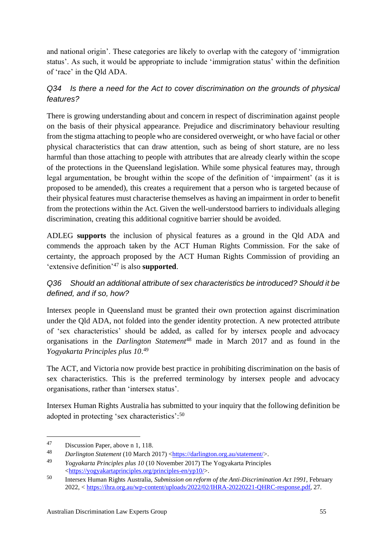and national origin'. These categories are likely to overlap with the category of 'immigration status'. As such, it would be appropriate to include 'immigration status' within the definition of 'race' in the Qld ADA.

### *Q34 Is there a need for the Act to cover discrimination on the grounds of physical features?*

There is growing understanding about and concern in respect of discrimination against people on the basis of their physical appearance. Prejudice and discriminatory behaviour resulting from the stigma attaching to people who are considered overweight, or who have facial or other physical characteristics that can draw attention, such as being of short stature, are no less harmful than those attaching to people with attributes that are already clearly within the scope of the protections in the Queensland legislation. While some physical features may, through legal argumentation, be brought within the scope of the definition of 'impairment' (as it is proposed to be amended), this creates a requirement that a person who is targeted because of their physical features must characterise themselves as having an impairment in order to benefit from the protections within the Act. Given the well-understood barriers to individuals alleging discrimination, creating this additional cognitive barrier should be avoided.

ADLEG **supports** the inclusion of physical features as a ground in the Qld ADA and commends the approach taken by the ACT Human Rights Commission. For the sake of certainty, the approach proposed by the ACT Human Rights Commission of providing an 'extensive definition'<sup>47</sup> is also **supported**.

### *Q36 Should an additional attribute of sex characteristics be introduced? Should it be defined, and if so, how?*

Intersex people in Queensland must be granted their own protection against discrimination under the Qld ADA, not folded into the gender identity protection. A new protected attribute of 'sex characteristics' should be added, as called for by intersex people and advocacy organisations in the *Darlington Statement*<sup>48</sup> made in March 2017 and as found in the *Yogyakarta Principles plus 10*. 49

The ACT, and Victoria now provide best practice in prohibiting discrimination on the basis of sex characteristics. This is the preferred terminology by intersex people and advocacy organisations, rather than 'intersex status'.

Intersex Human Rights Australia has submitted to your inquiry that the following definition be adopted in protecting 'sex characteristics':<sup>50</sup>

<sup>47</sup> Discussion Paper, above n 1, 118.

Darlington Statement (10 March 2017) [<https://darlington.org.au/statement/>](https://darlington.org.au/statement/).

<sup>49</sup> *Yogyakarta Principles plus 10* (10 November 2017) The Yogyakarta Principles [<https://yogyakartaprinciples.org/principles-en/yp10/>](https://yogyakartaprinciples.org/principles-en/yp10/).

<sup>50</sup> Intersex Human Rights Australia, *Submission on reform of the Anti-Discrimination Act 1991*, February 2022, < [https://ihra.org.au/wp-content/uploads/2022/02/IHRA-20220221-QHRC-response.pdf,](https://ihra.org.au/wp-content/uploads/2022/02/IHRA-20220221-QHRC-response.pdf) 27.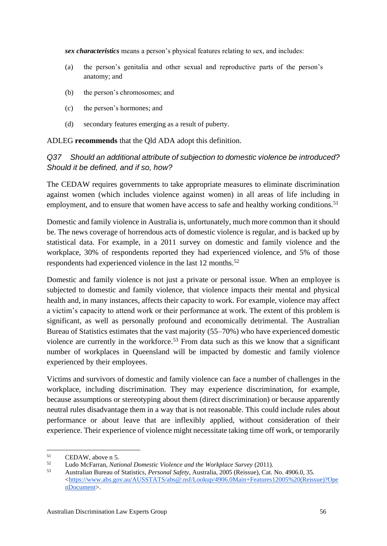*sex characteristics* means a person's physical features relating to sex, and includes:

- (a) the person's genitalia and other sexual and reproductive parts of the person's anatomy; and
- (b) the person's chromosomes; and
- (c) the person's hormones; and
- (d) secondary features emerging as a result of puberty.

ADLEG **recommends** that the Qld ADA adopt this definition.

#### *Q37 Should an additional attribute of subjection to domestic violence be introduced? Should it be defined, and if so, how?*

The CEDAW requires governments to take appropriate measures to eliminate discrimination against women (which includes violence against women) in all areas of life including in employment, and to ensure that women have access to safe and healthy working conditions.<sup>51</sup>

Domestic and family violence in Australia is, unfortunately, much more common than it should be. The news coverage of horrendous acts of domestic violence is regular, and is backed up by statistical data. For example, in a 2011 survey on domestic and family violence and the workplace, 30% of respondents reported they had experienced violence, and 5% of those respondents had experienced violence in the last 12 months.<sup>52</sup>

Domestic and family violence is not just a private or personal issue. When an employee is subjected to domestic and family violence, that violence impacts their mental and physical health and, in many instances, affects their capacity to work. For example, violence may affect a victim's capacity to attend work or their performance at work. The extent of this problem is significant, as well as personally profound and economically detrimental. The Australian Bureau of Statistics estimates that the vast majority (55–70%) who have experienced domestic violence are currently in the workforce.<sup>53</sup> From data such as this we know that a significant number of workplaces in Queensland will be impacted by domestic and family violence experienced by their employees.

Victims and survivors of domestic and family violence can face a number of challenges in the workplace, including discrimination. They may experience discrimination, for example, because assumptions or stereotyping about them (direct discrimination) or because apparently neutral rules disadvantage them in a way that is not reasonable. This could include rules about performance or about leave that are inflexibly applied, without consideration of their experience. Their experience of violence might necessitate taking time off work, or temporarily

 $\begin{array}{ll}\n\text{51} & \text{CEDAW, above n 5.} \\
\text{52} & \text{I, who McGorson, } Nat\n\end{array}$  $\begin{array}{ll}\n\text{51} & \text{CEDAW, above n 5.} \\
\text{52} & \text{I, who McGorson, } Nat\n\end{array}$  $\begin{array}{ll}\n\text{51} & \text{CEDAW, above n 5.} \\
\text{52} & \text{I, who McGorson, } Nat\n\end{array}$ 

<sup>52</sup> Ludo McFarran, *National Domestic Violence and the Workplace Survey* (2011).

<sup>53</sup> Australian Bureau of Statistics, *Personal Safety*, Australia, 2005 (Reissue), Cat. No. 4906.0, 35.  $\lt$ https://www.abs.gov.au/AUSSTATS/abs@.nsf/Lookup/4906.0Main+Features12005%20(Reissue)?Ope [nDocument>](https://www.abs.gov.au/AUSSTATS/abs@.nsf/Lookup/4906.0Main+Features12005%20(Reissue)?OpenDocument).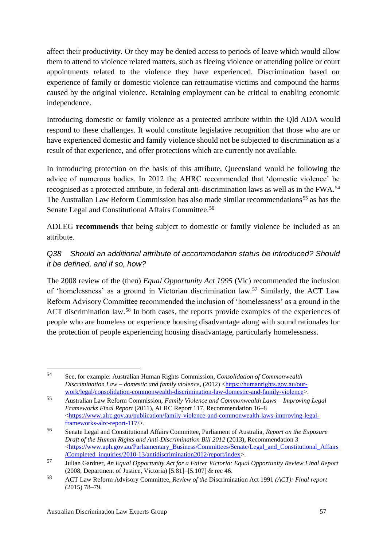affect their productivity. Or they may be denied access to periods of leave which would allow them to attend to violence related matters, such as fleeing violence or attending police or court appointments related to the violence they have experienced. Discrimination based on experience of family or domestic violence can retraumatise victims and compound the harms caused by the original violence. Retaining employment can be critical to enabling economic independence.

Introducing domestic or family violence as a protected attribute within the Qld ADA would respond to these challenges. It would constitute legislative recognition that those who are or have experienced domestic and family violence should not be subjected to discrimination as a result of that experience, and offer protections which are currently not available.

In introducing protection on the basis of this attribute, Queensland would be following the advice of numerous bodies. In 2012 the AHRC recommended that 'domestic violence' be recognised as a protected attribute, in federal anti-discrimination laws as well as in the FWA.<sup>54</sup> The Australian Law Reform Commission has also made similar recommendations<sup>55</sup> as has the Senate Legal and Constitutional Affairs Committee.<sup>56</sup>

ADLEG **recommends** that being subject to domestic or family violence be included as an attribute.

### *Q38 Should an additional attribute of accommodation status be introduced? Should it be defined, and if so, how?*

The 2008 review of the (then) *Equal Opportunity Act 1995* (Vic) recommended the inclusion of 'homelessness' as a ground in Victorian discrimination law.<sup>57</sup> Similarly, the ACT Law Reform Advisory Committee recommended the inclusion of 'homelessness' as a ground in the ACT discrimination law.<sup>58</sup> In both cases, the reports provide examples of the experiences of people who are homeless or experience housing disadvantage along with sound rationales for the protection of people experiencing housing disadvantage, particularly homelessness.

<sup>54</sup> See, for example: Australian Human Rights Commission, *Consolidation of Commonwealth Discrimination Law – domestic and family violence*, (2012) [<https://humanrights.gov.au/our](https://humanrights.gov.au/our-work/legal/consolidation-commonwealth-discrimination-law-domestic-and-family-violence)[work/legal/consolidation-commonwealth-discrimination-law-domestic-and-family-violence>](https://humanrights.gov.au/our-work/legal/consolidation-commonwealth-discrimination-law-domestic-and-family-violence).

<sup>55</sup> Australian Law Reform Commission, *Family Violence and Commonwealth Laws – Improving Legal Frameworks Final Report* (2011), ALRC Report 117, Recommendation 16–8 [<https://www.alrc.gov.au/publication/family-violence-and-commonwealth-laws-improving-legal](https://www.alrc.gov.au/publication/family-violence-and-commonwealth-laws-improving-legal-frameworks-alrc-report-117/)[frameworks-alrc-report-117/>](https://www.alrc.gov.au/publication/family-violence-and-commonwealth-laws-improving-legal-frameworks-alrc-report-117/).

<sup>56</sup> Senate Legal and Constitutional Affairs Committee, Parliament of Australia, *Report on the Exposure Draft of the Human Rights and Anti-Discrimination Bill 2012* (2013), Recommendation 3 [<https://www.aph.gov.au/Parliamentary\\_Business/Committees/Senate/Legal\\_and\\_Constitutional\\_Affairs](https://www.aph.gov.au/Parliamentary_Business/Committees/Senate/Legal_and_Constitutional_Affairs/Completed_inquiries/2010-13/antidiscrimination2012/report/index) [/Completed\\_inquiries/2010-13/antidiscrimination2012/report/index>](https://www.aph.gov.au/Parliamentary_Business/Committees/Senate/Legal_and_Constitutional_Affairs/Completed_inquiries/2010-13/antidiscrimination2012/report/index).

<sup>57</sup> Julian Gardner, *An Equal Opportunity Act for a Fairer Victoria: Equal Opportunity Review Final Report* (2008, Department of Justice, Victoria) [5.81]–[5.107] & rec 46.

<sup>58</sup> ACT Law Reform Advisory Committee, *Review of the* Discrimination Act 1991 *(ACT): Final report* (2015) 78–79.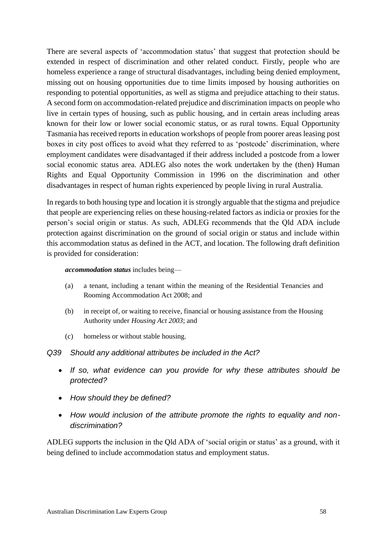There are several aspects of 'accommodation status' that suggest that protection should be extended in respect of discrimination and other related conduct. Firstly, people who are homeless experience a range of structural disadvantages, including being denied employment, missing out on housing opportunities due to time limits imposed by housing authorities on responding to potential opportunities, as well as stigma and prejudice attaching to their status. A second form on accommodation-related prejudice and discrimination impacts on people who live in certain types of housing, such as public housing, and in certain areas including areas known for their low or lower social economic status, or as rural towns. Equal Opportunity Tasmania has received reports in education workshops of people from poorer areas leasing post boxes in city post offices to avoid what they referred to as 'postcode' discrimination, where employment candidates were disadvantaged if their address included a postcode from a lower social economic status area. ADLEG also notes the work undertaken by the (then) Human Rights and Equal Opportunity Commission in 1996 on the discrimination and other disadvantages in respect of human rights experienced by people living in rural Australia.

In regards to both housing type and location it is strongly arguable that the stigma and prejudice that people are experiencing relies on these housing-related factors as indicia or proxies for the person's social origin or status. As such, ADLEG recommends that the Qld ADA include protection against discrimination on the ground of social origin or status and include within this accommodation status as defined in the ACT, and location. The following draft definition is provided for consideration:

#### *accommodation status* includes being—

- (a) a tenant, including a tenant within the meaning of the [Residential Tenancies and](https://www.legislation.qld.gov.au/view/pdf/inforce/current/act-2008-073)  [Rooming Accommodation Act 2008;](https://www.legislation.qld.gov.au/view/pdf/inforce/current/act-2008-073) and
- (b) in receipt of, or waiting to receive, financial or housing assistance from the Housing Authority under *Housing Act 2003*; and
- (c) homeless or without stable housing.
- *Q39 Should any additional attributes be included in the Act?*
	- *If so, what evidence can you provide for why these attributes should be protected?*
	- *How should they be defined?*
	- *How would inclusion of the attribute promote the rights to equality and nondiscrimination?*

ADLEG supports the inclusion in the Qld ADA of 'social origin or status' as a ground, with it being defined to include accommodation status and employment status.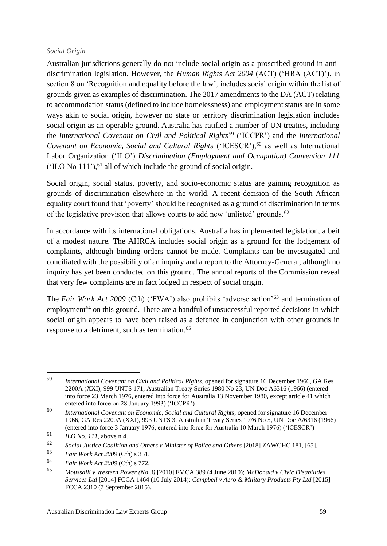#### *Social Origin*

Australian jurisdictions generally do not include social origin as a proscribed ground in antidiscrimination legislation. However, the *Human Rights Act 2004* (ACT) ('HRA (ACT)'), in section 8 on 'Recognition and equality before the law', includes social origin within the list of grounds given as examples of discrimination. The 2017 amendments to the DA (ACT) relating to accommodation status (defined to include homelessness) and employment status are in some ways akin to social origin, however no state or territory discrimination legislation includes social origin as an operable ground. Australia has ratified a number of UN treaties, including the *International Covenant on Civil and Political Rights*<sup>59</sup> ('ICCPR') and the *International Covenant on Economic, Social and Cultural Rights* ('ICESCR'), <sup>60</sup> as well as International Labor Organization ('ILO') *Discrimination (Employment and Occupation) Convention 111*   $(1LO No 111<sup>o</sup>),<sup>61</sup>$  all of which include the ground of social origin.

Social origin, social status, poverty, and socio-economic status are gaining recognition as grounds of discrimination elsewhere in the world. A recent decision of the South African equality court found that 'poverty' should be recognised as a ground of discrimination in terms of the legislative provision that allows courts to add new 'unlisted' grounds.<sup>62</sup>

In accordance with its international obligations, Australia has implemented legislation, albeit of a modest nature. The AHRCA includes social origin as a ground for the lodgement of complaints, although binding orders cannot be made. Complaints can be investigated and conciliated with the possibility of an inquiry and a report to the Attorney-General, although no inquiry has yet been conducted on this ground. The annual reports of the Commission reveal that very few complaints are in fact lodged in respect of social origin.

The *Fair Work Act 2009* (Cth) ('FWA') also prohibits 'adverse action'<sup>63</sup> and termination of employment<sup>64</sup> on this ground. There are a handful of unsuccessful reported decisions in which social origin appears to have been raised as a defence in conjunction with other grounds in response to a detriment, such as termination.<sup>65</sup>

<sup>59</sup> *International Covenant on Civil and Political Rights*, opened for signature 16 December 1966, GA Res 2200A (XXI), 999 UNTS 171; Australian Treaty Series 1980 No 23, UN Doc A6316 (1966) (entered into force 23 March 1976, entered into force for Australia 13 November 1980, except article 41 which entered into force on 28 January 1993) ('ICCPR')

<sup>60</sup> *International Covenant on Economic, Social and Cultural Rights*, opened for signature 16 December 1966, GA Res 2200A (XXI), 993 UNTS 3, Australian Treaty Series 1976 No 5, UN Doc A/6316 (1966) (entered into force 3 January 1976, entered into force for Australia 10 March 1976) ('ICESCR')

<sup>61</sup> *ILO No. 111*, above [n 4.](#page-18-1)

<sup>62</sup> *Social Justice Coalition and Others v Minister of Police and Others* [2018] ZAWCHC 181, [65].

<sup>63</sup> *Fair Work Act 2009* (Cth) s 351.

<sup>64</sup> *Fair Work Act 2009* (Cth) s 772.

<sup>65</sup> *Moussalli v Western Power (No 3)* [2010] FMCA 389 (4 June 2010); *McDonald v Civic Disabilities Services Ltd* [2014] FCCA 1464 (10 July 2014); *Campbell v Aero & Military Products Pty Ltd* [2015] FCCA 2310 (7 September 2015).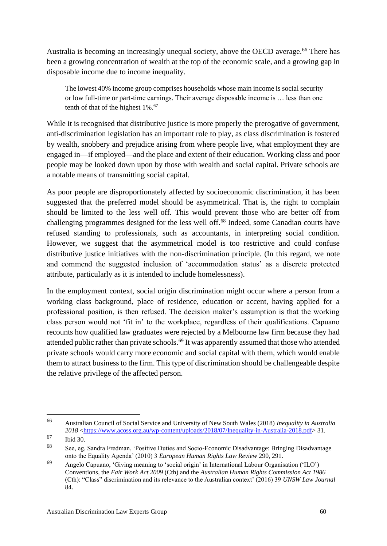Australia is becoming an increasingly unequal society, above the OECD average.<sup>66</sup> There has been a growing concentration of wealth at the top of the economic scale, and a growing gap in disposable income due to income inequality.

The lowest 40% income group comprises households whose main income is social security or low full-time or part-time earnings. Their average disposable income is … less than one tenth of that of the highest  $1\%$ .<sup>67</sup>

While it is recognised that distributive justice is more properly the prerogative of government, anti-discrimination legislation has an important role to play, as class discrimination is fostered by wealth, snobbery and prejudice arising from where people live, what employment they are engaged in—if employed—and the place and extent of their education. Working class and poor people may be looked down upon by those with wealth and social capital. Private schools are a notable means of transmitting social capital.

As poor people are disproportionately affected by socioeconomic discrimination, it has been suggested that the preferred model should be asymmetrical. That is, the right to complain should be limited to the less well off. This would prevent those who are better off from challenging programmes designed for the less well off.<sup>68</sup> Indeed, some Canadian courts have refused standing to professionals, such as accountants, in interpreting social condition. However, we suggest that the asymmetrical model is too restrictive and could confuse distributive justice initiatives with the non-discrimination principle. (In this regard, we note and commend the suggested inclusion of 'accommodation status' as a discrete protected attribute, particularly as it is intended to include homelessness).

In the employment context, social origin discrimination might occur where a person from a working class background, place of residence, education or accent, having applied for a professional position, is then refused. The decision maker's assumption is that the working class person would not 'fit in' to the workplace, regardless of their qualifications. Capuano recounts how qualified law graduates were rejected by a Melbourne law firm because they had attended public rather than private schools.<sup>69</sup> It was apparently assumed that those who attended private schools would carry more economic and social capital with them, which would enable them to attract business to the firm. This type of discrimination should be challengeable despite the relative privilege of the affected person.

<sup>66</sup> Australian Council of Social Service and University of New South Wales (2018) *Inequality in Australia 2018* [<https://www.acoss.org.au/wp-content/uploads/2018/07/Inequality-in-Australia-2018.pdf>](https://www.acoss.org.au/wp-content/uploads/2018/07/Inequality-in-Australia-2018.pdf) 31.

<sup>67</sup> Ibid 30.

<sup>68</sup> See, eg, Sandra Fredman, 'Positive Duties and Socio-Economic Disadvantage: Bringing Disadvantage onto the Equality Agenda' (2010) 3 *European Human Rights Law Review* 290, 291.

<sup>69</sup> Angelo Capuano, 'Giving meaning to 'social origin' in International Labour Organisation ('ILO') Conventions, the *Fair Work Act 2009* (Cth) and the *Australian Human Rights Commission Act 1986* (Cth): "Class" discrimination and its relevance to the Australian context' (2016) 39 *UNSW Law Journal* 84.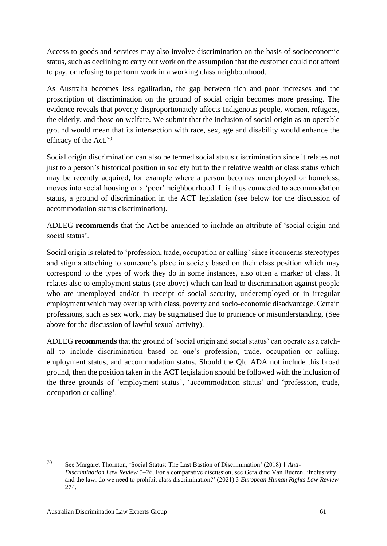Access to goods and services may also involve discrimination on the basis of socioeconomic status, such as declining to carry out work on the assumption that the customer could not afford to pay, or refusing to perform work in a working class neighbourhood.

As Australia becomes less egalitarian, the gap between rich and poor increases and the proscription of discrimination on the ground of social origin becomes more pressing. The evidence reveals that poverty disproportionately affects Indigenous people, women, refugees, the elderly, and those on welfare. We submit that the inclusion of social origin as an operable ground would mean that its intersection with race, sex, age and disability would enhance the efficacy of the Act.<sup>70</sup>

Social origin discrimination can also be termed social status discrimination since it relates not just to a person's historical position in society but to their relative wealth or class status which may be recently acquired, for example where a person becomes unemployed or homeless, moves into social housing or a 'poor' neighbourhood. It is thus connected to accommodation status, a ground of discrimination in the ACT legislation (see below for the discussion of accommodation status discrimination).

ADLEG **recommends** that the Act be amended to include an attribute of 'social origin and social status'.

Social origin is related to 'profession, trade, occupation or calling' since it concerns stereotypes and stigma attaching to someone's place in society based on their class position which may correspond to the types of work they do in some instances, also often a marker of class. It relates also to employment status (see above) which can lead to discrimination against people who are unemployed and/or in receipt of social security, underemployed or in irregular employment which may overlap with class, poverty and socio-economic disadvantage. Certain professions, such as sex work, may be stigmatised due to prurience or misunderstanding. (See above for the discussion of lawful sexual activity).

ADLEG **recommends** that the ground of 'social origin and social status' can operate as a catchall to include discrimination based on one's profession, trade, occupation or calling, employment status, and accommodation status. Should the Qld ADA not include this broad ground, then the position taken in the ACT legislation should be followed with the inclusion of the three grounds of 'employment status', 'accommodation status' and 'profession, trade, occupation or calling'.

<sup>70</sup> See Margaret Thornton, 'Social Status: The Last Bastion of Discrimination' (2018) 1 *Anti-Discrimination Law Review* 5–26. For a comparative discussion, see Geraldine Van Bueren, 'Inclusivity and the law: do we need to prohibit class discrimination?' (2021) 3 *European Human Rights Law Review* 274.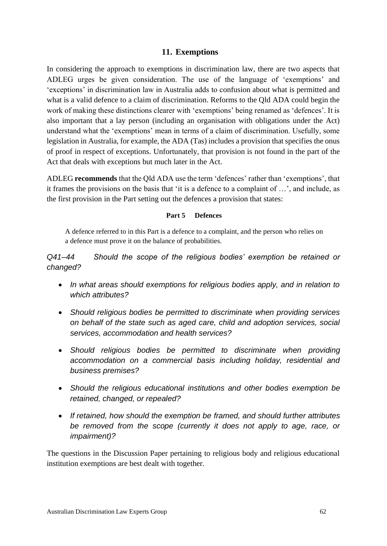#### <span id="page-62-0"></span>**11. Exemptions**

In considering the approach to exemptions in discrimination law, there are two aspects that ADLEG urges be given consideration. The use of the language of 'exemptions' and 'exceptions' in discrimination law in Australia adds to confusion about what is permitted and what is a valid defence to a claim of discrimination. Reforms to the Qld ADA could begin the work of making these distinctions clearer with 'exemptions' being renamed as 'defences'. It is also important that a lay person (including an organisation with obligations under the Act) understand what the 'exemptions' mean in terms of a claim of discrimination. Usefully, some legislation in Australia, for example, the ADA (Tas) includes a provision that specifies the onus of proof in respect of exceptions. Unfortunately, that provision is not found in the part of the Act that deals with exceptions but much later in the Act.

ADLEG **recommends** that the Qld ADA use the term 'defences' rather than 'exemptions', that it frames the provisions on the basis that 'it is a defence to a complaint of …', and include, as the first provision in the Part setting out the defences a provision that states:

#### **Part 5 Defences**

A defence referred to in this Part is a defence to a complaint, and the person who relies on a defence must prove it on the balance of probabilities.

*Q41–44 Should the scope of the religious bodies' exemption be retained or changed?* 

- *In what areas should exemptions for religious bodies apply, and in relation to which attributes?*
- *Should religious bodies be permitted to discriminate when providing services on behalf of the state such as aged care, child and adoption services, social services, accommodation and health services?*
- *Should religious bodies be permitted to discriminate when providing accommodation on a commercial basis including holiday, residential and business premises?*
- *Should the religious educational institutions and other bodies exemption be retained, changed, or repealed?*
- *If retained, how should the exemption be framed, and should further attributes be removed from the scope (currently it does not apply to age, race, or impairment)?*

The questions in the Discussion Paper pertaining to religious body and religious educational institution exemptions are best dealt with together.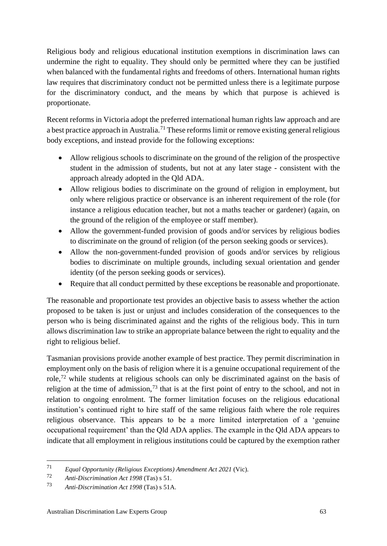Religious body and religious educational institution exemptions in discrimination laws can undermine the right to equality. They should only be permitted where they can be justified when balanced with the fundamental rights and freedoms of others. International human rights law requires that discriminatory conduct not be permitted unless there is a legitimate purpose for the discriminatory conduct, and the means by which that purpose is achieved is proportionate.

Recent reforms in Victoria adopt the preferred international human rights law approach and are a best practice approach in Australia.<sup>71</sup> These reforms limit or remove existing general religious body exceptions, and instead provide for the following exceptions:

- Allow religious schools to discriminate on the ground of the religion of the prospective student in the admission of students, but not at any later stage - consistent with the approach already adopted in the Qld ADA.
- Allow religious bodies to discriminate on the ground of religion in employment, but only where religious practice or observance is an inherent requirement of the role (for instance a religious education teacher, but not a maths teacher or gardener) (again, on the ground of the religion of the employee or staff member).
- Allow the government-funded provision of goods and/or services by religious bodies to discriminate on the ground of religion (of the person seeking goods or services).
- Allow the non-government-funded provision of goods and/or services by religious bodies to discriminate on multiple grounds, including sexual orientation and gender identity (of the person seeking goods or services).
- Require that all conduct permitted by these exceptions be reasonable and proportionate.

The reasonable and proportionate test provides an objective basis to assess whether the action proposed to be taken is just or unjust and includes consideration of the consequences to the person who is being discriminated against and the rights of the religious body. This in turn allows discrimination law to strike an appropriate balance between the right to equality and the right to religious belief.

Tasmanian provisions provide another example of best practice. They permit discrimination in employment only on the basis of religion where it is a genuine occupational requirement of the role,<sup>72</sup> while students at religious schools can only be discriminated against on the basis of religion at the time of admission, $73$  that is at the first point of entry to the school, and not in relation to ongoing enrolment. The former limitation focuses on the religious educational institution's continued right to hire staff of the same religious faith where the role requires religious observance. This appears to be a more limited interpretation of a 'genuine occupational requirement' than the Qld ADA applies. The example in the Qld ADA appears to indicate that all employment in religious institutions could be captured by the exemption rather

<sup>71</sup> *Equal Opportunity (Religious Exceptions) Amendment Act 2021* (Vic).

<sup>72</sup> *Anti-Discrimination Act 1998* (Tas) s 51.

<sup>73</sup> *Anti-Discrimination Act 1998* (Tas) s 51A.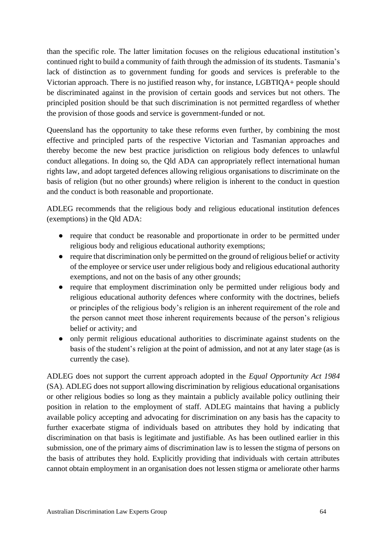than the specific role. The latter limitation focuses on the religious educational institution's continued right to build a community of faith through the admission of its students. Tasmania's lack of distinction as to government funding for goods and services is preferable to the Victorian approach. There is no justified reason why, for instance, LGBTIQA+ people should be discriminated against in the provision of certain goods and services but not others. The principled position should be that such discrimination is not permitted regardless of whether the provision of those goods and service is government-funded or not.

Queensland has the opportunity to take these reforms even further, by combining the most effective and principled parts of the respective Victorian and Tasmanian approaches and thereby become the new best practice jurisdiction on religious body defences to unlawful conduct allegations. In doing so, the Qld ADA can appropriately reflect international human rights law, and adopt targeted defences allowing religious organisations to discriminate on the basis of religion (but no other grounds) where religion is inherent to the conduct in question and the conduct is both reasonable and proportionate.

ADLEG recommends that the religious body and religious educational institution defences (exemptions) in the Qld ADA:

- require that conduct be reasonable and proportionate in order to be permitted under religious body and religious educational authority exemptions;
- require that discrimination only be permitted on the ground of religious belief or activity of the employee or service user under religious body and religious educational authority exemptions, and not on the basis of any other grounds;
- require that employment discrimination only be permitted under religious body and religious educational authority defences where conformity with the doctrines, beliefs or principles of the religious body's religion is an inherent requirement of the role and the person cannot meet those inherent requirements because of the person's religious belief or activity; and
- only permit religious educational authorities to discriminate against students on the basis of the student's religion at the point of admission, and not at any later stage (as is currently the case).

ADLEG does not support the current approach adopted in the *Equal Opportunity Act 1984* (SA). ADLEG does not support allowing discrimination by religious educational organisations or other religious bodies so long as they maintain a publicly available policy outlining their position in relation to the employment of staff. ADLEG maintains that having a publicly available policy accepting and advocating for discrimination on any basis has the capacity to further exacerbate stigma of individuals based on attributes they hold by indicating that discrimination on that basis is legitimate and justifiable. As has been outlined earlier in this submission, one of the primary aims of discrimination law is to lessen the stigma of persons on the basis of attributes they hold. Explicitly providing that individuals with certain attributes cannot obtain employment in an organisation does not lessen stigma or ameliorate other harms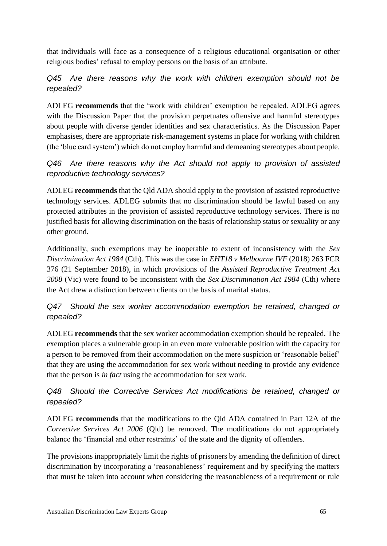that individuals will face as a consequence of a religious educational organisation or other religious bodies' refusal to employ persons on the basis of an attribute.

### *Q45 Are there reasons why the work with children exemption should not be repealed?*

ADLEG **recommends** that the 'work with children' exemption be repealed. ADLEG agrees with the Discussion Paper that the provision perpetuates offensive and harmful stereotypes about people with diverse gender identities and sex characteristics. As the Discussion Paper emphasises, there are appropriate risk-management systems in place for working with children (the 'blue card system') which do not employ harmful and demeaning stereotypes about people.

### *Q46 Are there reasons why the Act should not apply to provision of assisted reproductive technology services?*

ADLEG **recommends** that the Qld ADA should apply to the provision of assisted reproductive technology services. ADLEG submits that no discrimination should be lawful based on any protected attributes in the provision of assisted reproductive technology services. There is no justified basis for allowing discrimination on the basis of relationship status or sexuality or any other ground.

Additionally, such exemptions may be inoperable to extent of inconsistency with the *Sex Discrimination Act 1984* (Cth). This was the case in *EHT18 v Melbourne IVF* (2018) 263 FCR 376 (21 September 2018), in which provisions of the *Assisted Reproductive Treatment Act 2008* (Vic) were found to be inconsistent with the *Sex Discrimination Act 1984* (Cth) where the Act drew a distinction between clients on the basis of marital status.

### *Q47 Should the sex worker accommodation exemption be retained, changed or repealed?*

ADLEG **recommends** that the sex worker accommodation exemption should be repealed. The exemption places a vulnerable group in an even more vulnerable position with the capacity for a person to be removed from their accommodation on the mere suspicion or 'reasonable belief' that they are using the accommodation for sex work without needing to provide any evidence that the person is *in fact* using the accommodation for sex work.

### *Q48 Should the Corrective Services Act modifications be retained, changed or repealed?*

ADLEG **recommends** that the modifications to the Qld ADA contained in Part 12A of the *Corrective Services Act 2006* (Qld) be removed. The modifications do not appropriately balance the 'financial and other restraints' of the state and the dignity of offenders.

The provisions inappropriately limit the rights of prisoners by amending the definition of direct discrimination by incorporating a 'reasonableness' requirement and by specifying the matters that must be taken into account when considering the reasonableness of a requirement or rule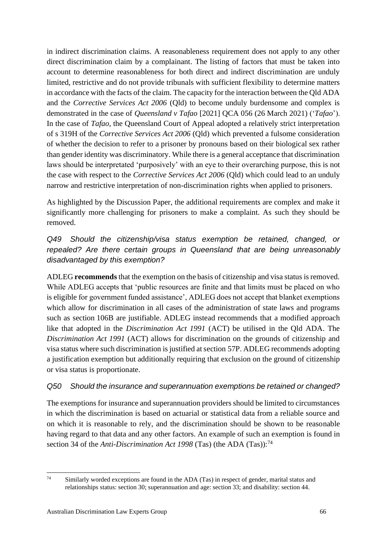in indirect discrimination claims. A reasonableness requirement does not apply to any other direct discrimination claim by a complainant. The listing of factors that must be taken into account to determine reasonableness for both direct and indirect discrimination are unduly limited, restrictive and do not provide tribunals with sufficient flexibility to determine matters in accordance with the facts of the claim. The capacity for the interaction between the Qld ADA and the *Corrective Services Act 2006* (Qld) to become unduly burdensome and complex is demonstrated in the case of *Queensland v Tafao* [2021] QCA 056 (26 March 2021) ('*Tafao*'). In the case of *Tafao*, the Queensland Court of Appeal adopted a relatively strict interpretation of s 319H of the *Corrective Services Act 2006* (Qld) which prevented a fulsome consideration of whether the decision to refer to a prisoner by pronouns based on their biological sex rather than gender identity was discriminatory. While there is a general acceptance that discrimination laws should be interpretated 'purposively' with an eye to their overarching purpose, this is not the case with respect to the *Corrective Services Act 2006* (Qld) which could lead to an unduly narrow and restrictive interpretation of non-discrimination rights when applied to prisoners.

As highlighted by the Discussion Paper, the additional requirements are complex and make it significantly more challenging for prisoners to make a complaint. As such they should be removed.

*Q49 Should the citizenship/visa status exemption be retained, changed, or repealed? Are there certain groups in Queensland that are being unreasonably disadvantaged by this exemption?*

ADLEG **recommends** that the exemption on the basis of citizenship and visa status is removed. While ADLEG accepts that 'public resources are finite and that limits must be placed on who is eligible for government funded assistance', ADLEG does not accept that blanket exemptions which allow for discrimination in all cases of the administration of state laws and programs such as section 106B are justifiable. ADLEG instead recommends that a modified approach like that adopted in the *Discrimination Act 1991* (ACT) be utilised in the Qld ADA. The *Discrimination Act 1991* (ACT) allows for discrimination on the grounds of citizenship and visa status where such discrimination is justified at section 57P. ADLEG recommends adopting a justification exemption but additionally requiring that exclusion on the ground of citizenship or visa status is proportionate.

#### *Q50 Should the insurance and superannuation exemptions be retained or changed?*

The exemptions for insurance and superannuation providers should be limited to circumstances in which the discrimination is based on actuarial or statistical data from a reliable source and on which it is reasonable to rely, and the discrimination should be shown to be reasonable having regard to that data and any other factors. An example of such an exemption is found in section 34 of the *Anti-Discrimination Act 1998* (Tas) (the ADA (Tas)):<sup>74</sup>

 $74$  Similarly worded exceptions are found in the ADA (Tas) in respect of gender, marital status and relationships status: section 30; superannuation and age: section 33; and disability: section 44.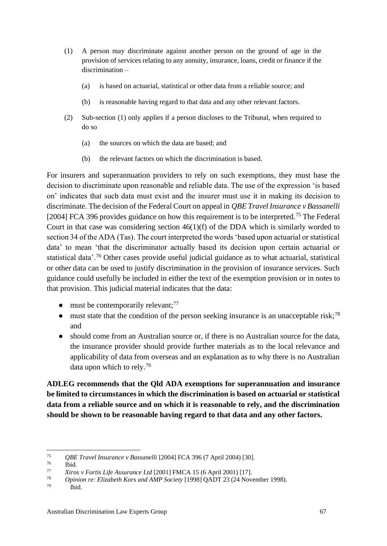- (1) A person may discriminate against another person on the ground of age in the provision of services relating to any annuity, insurance, loans, credit or finance if the discrimination –
	- (a) is based on actuarial, statistical or other data from a reliable source; and
	- (b) is reasonable having regard to that data and any other relevant factors.
- (2) Sub-section (1) only applies if a person discloses to the Tribunal, when required to do so
	- (a) the sources on which the data are based; and
	- (b) the relevant factors on which the discrimination is based.

For insurers and superannuation providers to rely on such exemptions, they must base the decision to discriminate upon reasonable and reliable data. The use of the expression 'is based on' indicates that such data must exist and the insurer must use it in making its decision to discriminate. The decision of the Federal Court on appeal in *QBE Travel Insurance v Bassanelli*  [2004] FCA 396 provides guidance on how this requirement is to be interpreted.<sup>75</sup> The Federal Court in that case was considering section 46(1)(f) of the DDA which is similarly worded to section 34 of the ADA (Tas). The court interpreted the words 'based upon actuarial or statistical data' to mean 'that the discriminator actually based its decision upon certain actuarial or statistical data'.<sup>76</sup> Other cases provide useful judicial guidance as to what actuarial, statistical or other data can be used to justify discrimination in the provision of insurance services. Such guidance could usefully be included in either the text of the exemption provision or in notes to that provision. This judicial material indicates that the data:

- $\bullet$  must be contemporarily relevant;<sup>77</sup>
- $\bullet$  must state that the condition of the person seeking insurance is an unacceptable risk;<sup>78</sup> and
- should come from an Australian source or, if there is no Australian source for the data, the insurance provider should provide further materials as to the local relevance and applicability of data from overseas and an explanation as to why there is no Australian data upon which to rely.<sup>79</sup>

**ADLEG recommends that the Qld ADA exemptions for superannuation and insurance be limited to circumstances in which the discrimination is based on actuarial or statistical data from a reliable source and on which it is reasonable to rely, and the discrimination should be shown to be reasonable having regard to that data and any other factors.**

<sup>75</sup> *QBE Travel Insurance v Bassanelli* [2004] FCA 396 (7 April 2004) [30].

 $\frac{76}{77}$  Ibid.

<sup>77</sup> *Xiros v Fortis Life Assurance Ltd* [2001] FMCA 15 (6 April 2001) [17].

<sup>78</sup> *Opinion re: Elizabeth Kors and AMP Society* [1998] QADT 23 (24 November 1998).

Ibid.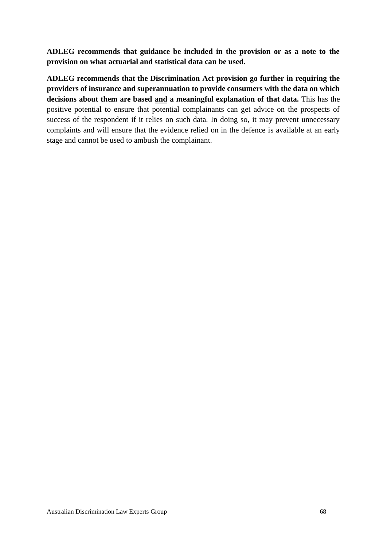**ADLEG recommends that guidance be included in the provision or as a note to the provision on what actuarial and statistical data can be used.**

**ADLEG recommends that the Discrimination Act provision go further in requiring the providers of insurance and superannuation to provide consumers with the data on which decisions about them are based and a meaningful explanation of that data.** This has the positive potential to ensure that potential complainants can get advice on the prospects of success of the respondent if it relies on such data. In doing so, it may prevent unnecessary complaints and will ensure that the evidence relied on in the defence is available at an early stage and cannot be used to ambush the complainant.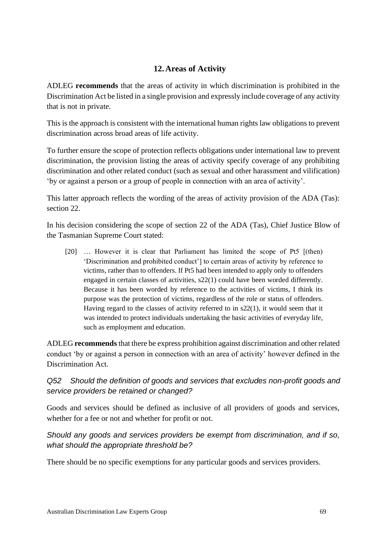### **12.Areas of Activity**

<span id="page-69-0"></span>ADLEG **recommends** that the areas of activity in which discrimination is prohibited in the Discrimination Act be listed in a single provision and expressly include coverage of any activity that is not in private.

This is the approach is consistent with the international human rights law obligations to prevent discrimination across broad areas of life activity.

To further ensure the scope of protection reflects obligations under international law to prevent discrimination, the provision listing the areas of activity specify coverage of any prohibiting discrimination and other related conduct (such as sexual and other harassment and vilification) 'by or against a person or a group of people in connection with an area of activity'.

This latter approach reflects the wording of the areas of activity provision of the ADA (Tas): section 22.

In his decision considering the scope of section 22 of the ADA (Tas), Chief Justice Blow of the Tasmanian Supreme Court stated:

[20] … However it is clear that Parliament has limited the scope of Pt5 [(then) 'Discrimination and prohibited conduct'] to certain areas of activity by reference to victims, rather than to offenders. If Pt5 had been intended to apply only to offenders engaged in certain classes of activities, s22(1) could have been worded differently. Because it has been worded by reference to the activities of victims, I think its purpose was the protection of victims, regardless of the role or status of offenders. Having regard to the classes of activity referred to in s22(1), it would seem that it was intended to protect individuals undertaking the basic activities of everyday life, such as employment and education.

ADLEG **recommends** that there be express prohibition against discrimination and other related conduct 'by or against a person in connection with an area of activity' however defined in the Discrimination Act.

### *Q52 Should the definition of goods and services that excludes non-profit goods and service providers be retained or changed?*

Goods and services should be defined as inclusive of all providers of goods and services, whether for a fee or not and whether for profit or not.

### *Should any goods and services providers be exempt from discrimination, and if so, what should the appropriate threshold be?*

There should be no specific exemptions for any particular goods and services providers.